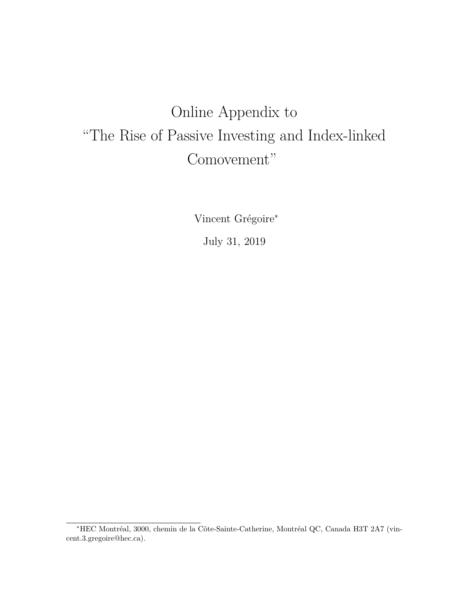# Online Appendix to "The Rise of Passive Investing and Index-linked Comovement"

Vincent Grégoire<sup>∗</sup>

July 31, 2019

<sup>∗</sup>HEC Montréal, 3000, chemin de la Côte-Sainte-Catherine, Montréal QC, Canada H3T 2A7 (vincent.3.gregoire@hec.ca).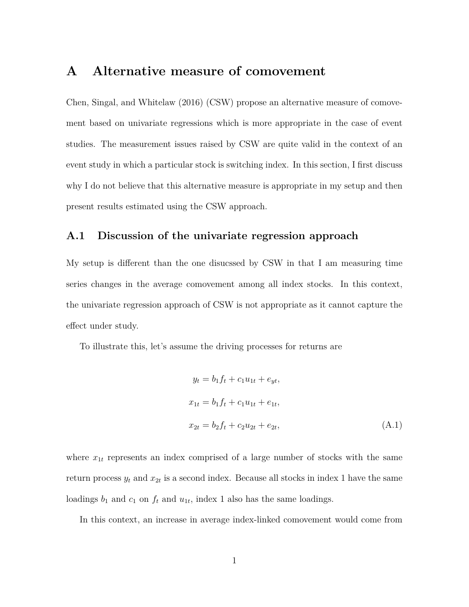## **A Alternative measure of comovement**

Chen, Singal, and Whitelaw (2016) (CSW) propose an alternative measure of comovement based on univariate regressions which is more appropriate in the case of event studies. The measurement issues raised by CSW are quite valid in the context of an event study in which a particular stock is switching index. In this section, I first discuss why I do not believe that this alternative measure is appropriate in my setup and then present results estimated using the CSW approach.

### **A.1 Discussion of the univariate regression approach**

My setup is different than the one disucssed by CSW in that I am measuring time series changes in the average comovement among all index stocks. In this context, the univariate regression approach of CSW is not appropriate as it cannot capture the effect under study.

To illustrate this, let's assume the driving processes for returns are

$$
y_t = b_1 f_t + c_1 u_{1t} + e_{yt},
$$
  
\n
$$
x_{1t} = b_1 f_t + c_1 u_{1t} + e_{1t},
$$
  
\n
$$
x_{2t} = b_2 f_t + c_2 u_{2t} + e_{2t},
$$
\n(A.1)

where  $x_{1t}$  represents an index comprised of a large number of stocks with the same return process  $y_t$  and  $x_{2t}$  is a second index. Because all stocks in index 1 have the same loadings  $b_1$  and  $c_1$  on  $f_t$  and  $u_{1t}$ , index 1 also has the same loadings.

In this context, an increase in average index-linked comovement would come from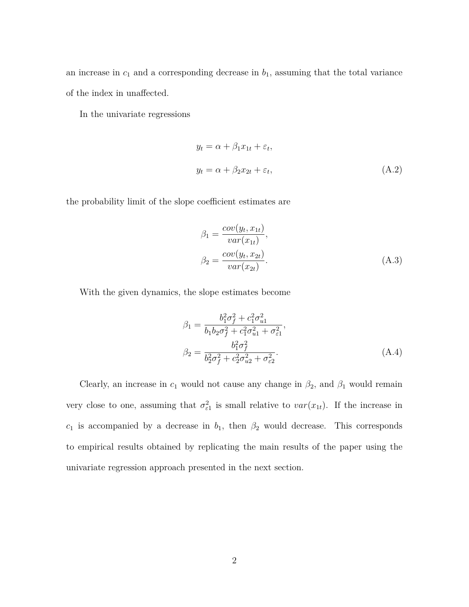an increase in  $c_1$  and a corresponding decrease in  $b_1$ , assuming that the total variance of the index in unaffected.

In the univariate regressions

$$
y_t = \alpha + \beta_1 x_{1t} + \varepsilon_t,
$$
  

$$
y_t = \alpha + \beta_2 x_{2t} + \varepsilon_t,
$$
 (A.2)

the probability limit of the slope coefficient estimates are

$$
\beta_1 = \frac{cov(y_t, x_{1t})}{var(x_{1t})},
$$
  
\n
$$
\beta_2 = \frac{cov(y_t, x_{2t})}{var(x_{2t})}.
$$
\n(A.3)

With the given dynamics, the slope estimates become

$$
\beta_1 = \frac{b_1^2 \sigma_f^2 + c_1^2 \sigma_{u1}^2}{b_1 b_2 \sigma_f^2 + c_1^2 \sigma_{u1}^2 + \sigma_{\varepsilon 1}^2},
$$
  
\n
$$
\beta_2 = \frac{b_1^2 \sigma_f^2}{b_2^2 \sigma_f^2 + c_2^2 \sigma_{u2}^2 + \sigma_{\varepsilon 2}^2}.
$$
\n(A.4)

Clearly, an increase in  $c_1$  would not cause any change in  $\beta_2$ , and  $\beta_1$  would remain very close to one, assuming that  $\sigma_{\varepsilon_1}^2$  is small relative to  $var(x_{1t})$ . If the increase in  $c_1$  is accompanied by a decrease in  $b_1$ , then  $\beta_2$  would decrease. This corresponds to empirical results obtained by replicating the main results of the paper using the univariate regression approach presented in the next section.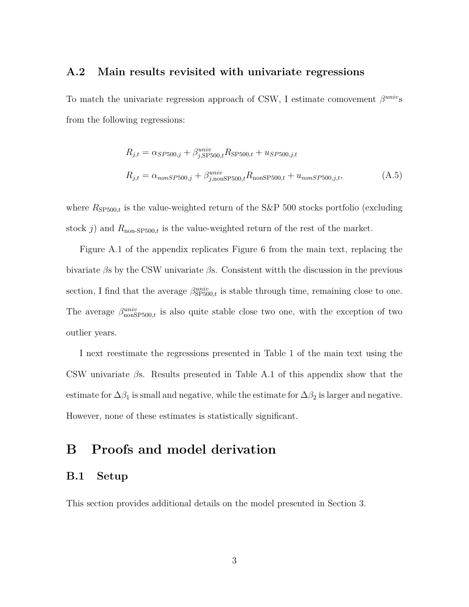### **A.2 Main results revisited with univariate regressions**

To match the univariate regression approach of CSW, I estimate comovement *β univ*s from the following regressions:

$$
R_{j,t} = \alpha_{SP500,j} + \beta_{j,SP500,t}^{univ} R_{SP500,t} + u_{SP500,j,t}
$$
  

$$
R_{j,t} = \alpha_{nonSP500,j} + \beta_{j,nonSP500,t}^{univ} R_{nonSP500,t} + u_{nonSP500,j,t},
$$
 (A.5)

where  $R_{\text{SP500},t}$  is the value-weighted return of the S&P 500 stocks portfolio (excluding stock  $j$ ) and  $R_{\text{non-SP500},t}$  is the value-weighted return of the rest of the market.

Figure A.1 of the appendix replicates Figure 6 from the main text, replacing the bivariate *β*s by the CSW univariate *β*s. Consistent witth the discussion in the previous section, I find that the average  $\beta_{\text{SP500},t}^{univ}$  is stable through time, remaining close to one. The average  $\beta_{\text{nonSP500},t}^{univ}$  is also quite stable close two one, with the exception of two outlier years.

I next reestimate the regressions presented in Table 1 of the main text using the CSW univariate *β*s. Results presented in Table A.1 of this appendix show that the estimate for  $\Delta\beta_1$  is small and negative, while the estimate for  $\Delta\beta_2$  is larger and negative. However, none of these estimates is statistically significant.

## **B Proofs and model derivation**

### **B.1 Setup**

This section provides additional details on the model presented in Section 3.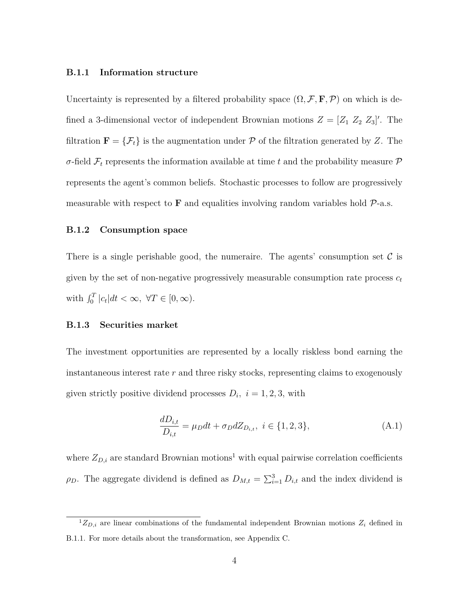#### **B.1.1 Information structure**

Uncertainty is represented by a filtered probability space  $(\Omega, \mathcal{F}, \mathbf{F}, \mathcal{P})$  on which is defined a 3-dimensional vector of independent Brownian motions  $Z = [Z_1 \ Z_2 \ Z_3]'$ . The filtration **F** = { $\mathcal{F}_t$ } is the augmentation under  $\mathcal{P}$  of the filtration generated by *Z*. The *σ*-field  $\mathcal{F}_t$  represents the information available at time *t* and the probability measure  $\mathcal{P}$ represents the agent's common beliefs. Stochastic processes to follow are progressively measurable with respect to  $\bf{F}$  and equalities involving random variables hold  $\mathcal{P}$ -a.s.

#### **B.1.2 Consumption space**

There is a single perishable good, the numeraire. The agents' consumption set  $\mathcal C$  is given by the set of non-negative progressively measurable consumption rate process  $c_t$ with  $\int_0^T |c_t| dt < \infty$ ,  $\forall T \in [0, \infty)$ .

#### **B.1.3 Securities market**

The investment opportunities are represented by a locally riskless bond earning the instantaneous interest rate *r* and three risky stocks, representing claims to exogenously given strictly positive dividend processes  $D_i$ ,  $i = 1, 2, 3$ , with

$$
\frac{dD_{i,t}}{D_{i,t}} = \mu_D dt + \sigma_D dZ_{D_{i,t}}, \ i \in \{1, 2, 3\},\tag{A.1}
$$

where  $Z_{D,i}$  are standard Brownian motions<sup>1</sup> with equal pairwise correlation coefficients *ρ*<sub>*D*</sub>. The aggregate dividend is defined as  $D_{M,t} = \sum_{i=1}^{3} D_{i,t}$  and the index dividend is

 ${}^{1}Z_{D,i}$  are linear combinations of the fundamental independent Brownian motions  $Z_i$  defined in B.1.1. For more details about the transformation, see Appendix C.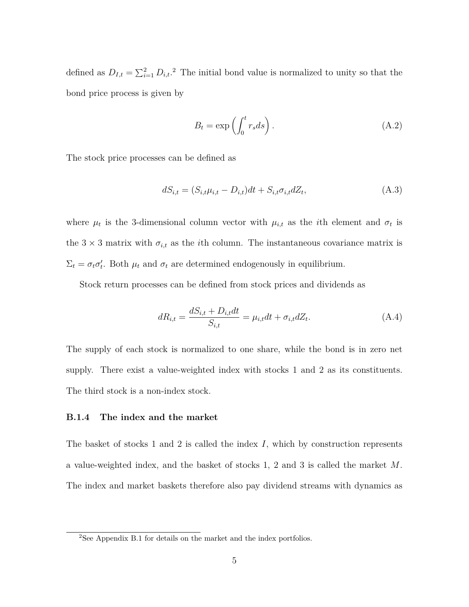defined as  $D_{I,t} = \sum_{i=1}^{2} D_{i,t}$ .<sup>2</sup> The initial bond value is normalized to unity so that the bond price process is given by

$$
B_t = \exp\left(\int_0^t r_s ds\right). \tag{A.2}
$$

The stock price processes can be defined as

$$
dS_{i,t} = (S_{i,t}\mu_{i,t} - D_{i,t})dt + S_{i,t}\sigma_{i,t}dZ_t,
$$
\n(A.3)

where  $\mu_t$  is the 3-dimensional column vector with  $\mu_{i,t}$  as the *i*th element and  $\sigma_t$  is the  $3 \times 3$  matrix with  $\sigma_{i,t}$  as the *i*<sup>th</sup> column. The instantaneous covariance matrix is  $\Sigma_t = \sigma_t \sigma'_t$ . Both  $\mu_t$  and  $\sigma_t$  are determined endogenously in equilibrium.

Stock return processes can be defined from stock prices and dividends as

$$
dR_{i,t} = \frac{dS_{i,t} + D_{i,t}dt}{S_{i,t}} = \mu_{i,t}dt + \sigma_{i,t}dZ_t.
$$
 (A.4)

The supply of each stock is normalized to one share, while the bond is in zero net supply. There exist a value-weighted index with stocks 1 and 2 as its constituents. The third stock is a non-index stock.

#### **B.1.4 The index and the market**

The basket of stocks 1 and 2 is called the index *I*, which by construction represents a value-weighted index, and the basket of stocks 1, 2 and 3 is called the market *M*. The index and market baskets therefore also pay dividend streams with dynamics as

<sup>2</sup>See Appendix B.1 for details on the market and the index portfolios.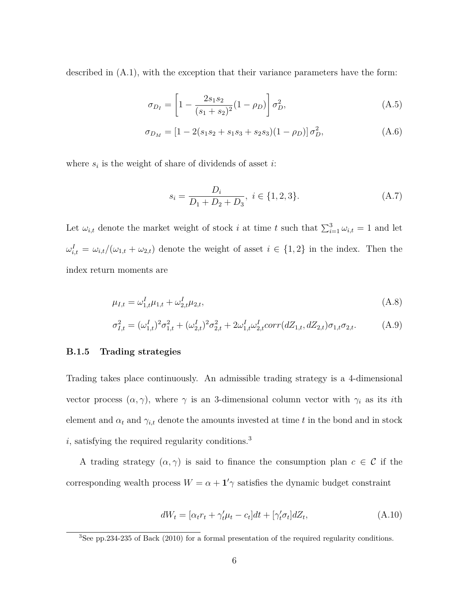described in (A.1), with the exception that their variance parameters have the form:

$$
\sigma_{D_I} = \left[1 - \frac{2s_1s_2}{(s_1 + s_2)^2}(1 - \rho_D)\right]\sigma_D^2,\tag{A.5}
$$

$$
\sigma_{D_M} = [1 - 2(s_1 s_2 + s_1 s_3 + s_2 s_3)(1 - \rho_D)] \sigma_D^2, \tag{A.6}
$$

where  $s_i$  is the weight of share of dividends of asset *i*:

$$
s_i = \frac{D_i}{D_1 + D_2 + D_3}, \ i \in \{1, 2, 3\}.
$$
 (A.7)

Let  $\omega_{i,t}$  denote the market weight of stock *i* at time *t* such that  $\sum_{i=1}^{3} \omega_{i,t} = 1$  and let  $\omega_{i,t}^I = \omega_{i,t}/(\omega_{1,t} + \omega_{2,t})$  denote the weight of asset  $i \in \{1,2\}$  in the index. Then the index return moments are

$$
\mu_{I,t} = \omega_{1,t}^I \mu_{1,t} + \omega_{2,t}^I \mu_{2,t},\tag{A.8}
$$

$$
\sigma_{I,t}^2 = (\omega_{1,t}^I)^2 \sigma_{1,t}^2 + (\omega_{2,t}^I)^2 \sigma_{2,t}^2 + 2\omega_{1,t}^I \omega_{2,t}^I \text{corr}(dZ_{1,t}, dZ_{2,t}) \sigma_{1,t} \sigma_{2,t}.
$$
 (A.9)

#### **B.1.5 Trading strategies**

Trading takes place continuously. An admissible trading strategy is a 4-dimensional vector process  $(\alpha, \gamma)$ , where  $\gamma$  is an 3-dimensional column vector with  $\gamma_i$  as its *i*th element and  $\alpha_t$  and  $\gamma_{i,t}$  denote the amounts invested at time *t* in the bond and in stock  $i,$  satisfying the required regularity conditions.<sup>3</sup>

A trading strategy  $(\alpha, \gamma)$  is said to finance the consumption plan  $c \in \mathcal{C}$  if the corresponding wealth process  $W = \alpha + \mathbf{1}'\gamma$  satisfies the dynamic budget constraint

$$
dW_t = [\alpha_t r_t + \gamma'_t \mu_t - c_t]dt + [\gamma'_t \sigma_t]dZ_t,
$$
\n(A.10)

<sup>&</sup>lt;sup>3</sup>See pp.234-235 of Back (2010) for a formal presentation of the required regularity conditions.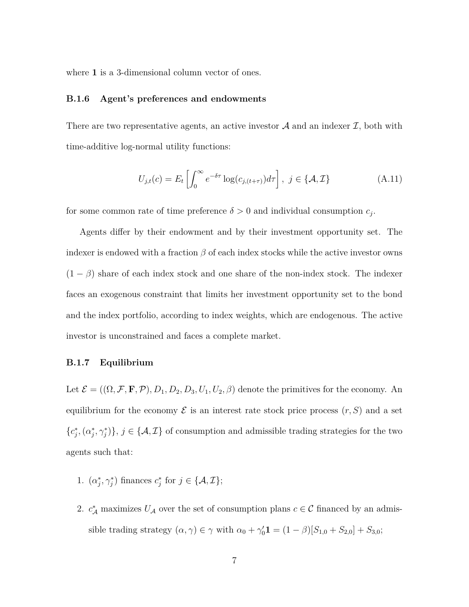where 1 is a 3-dimensional column vector of ones.

### **B.1.6 Agent's preferences and endowments**

There are two representative agents, an active investor  $A$  and an indexer  $I$ , both with time-additive log-normal utility functions:

$$
U_{j,t}(c) = E_t \left[ \int_0^\infty e^{-\delta \tau} \log(c_{j,(t+\tau)}) d\tau \right], \ j \in \{\mathcal{A}, \mathcal{I}\} \tag{A.11}
$$

for some common rate of time preference  $\delta > 0$  and individual consumption  $c_j$ .

Agents differ by their endowment and by their investment opportunity set. The indexer is endowed with a fraction  $\beta$  of each index stocks while the active investor owns  $(1 - \beta)$  share of each index stock and one share of the non-index stock. The indexer faces an exogenous constraint that limits her investment opportunity set to the bond and the index portfolio, according to index weights, which are endogenous. The active investor is unconstrained and faces a complete market.

### **B.1.7 Equilibrium**

Let  $\mathcal{E} = ((\Omega, \mathcal{F}, \mathbf{F}, \mathcal{P}), D_1, D_2, D_3, U_1, U_2, \beta)$  denote the primitives for the economy. An equilibrium for the economy  $\mathcal E$  is an interest rate stock price process  $(r, S)$  and a set  ${c_j^*, (\alpha_j^*, \gamma_j^*)}, j \in {\mathcal{A}, \mathcal{I}}$  of consumption and admissible trading strategies for the two agents such that:

- 1.  $(\alpha_j^*, \gamma_j^*)$  finances  $c_j^*$  for  $j \in \{A, \mathcal{I}\};$
- 2.  $c^*_{\mathcal{A}}$  maximizes  $U_{\mathcal{A}}$  over the set of consumption plans  $c \in \mathcal{C}$  financed by an admissible trading strategy  $(\alpha, \gamma) \in \gamma$  with  $\alpha_0 + \gamma'_0 \mathbf{1} = (1 - \beta)[S_{1,0} + S_{2,0}] + S_{3,0}$ ;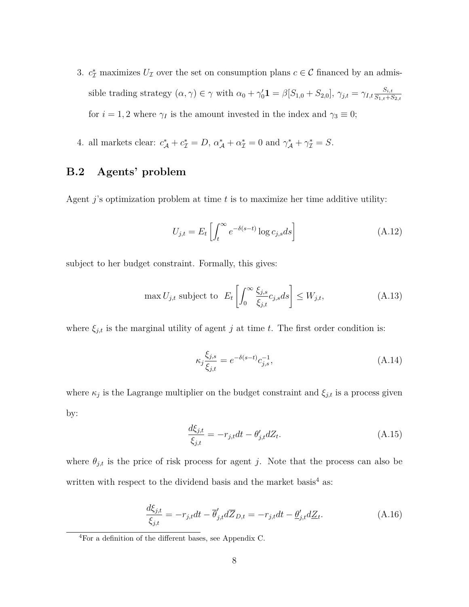- 3.  $c^*$  maximizes  $U_{\mathcal{I}}$  over the set on consumption plans  $c \in \mathcal{C}$  financed by an admissible trading strategy  $(\alpha, \gamma) \in \gamma$  with  $\alpha_0 + \gamma'_0 \mathbf{1} = \beta[S_{1,0} + S_{2,0}], \gamma_{j,t} = \gamma_{I,t} \frac{S_{i,t}}{S_{1,t} + S_{2,t}}$ *S*1*,t*+*S*2*,t* for  $i = 1, 2$  where  $\gamma_I$  is the amount invested in the index and  $\gamma_3 \equiv 0$ ;
- 4. all markets clear:  $c^*_{\mathcal{A}} + c^*_{\mathcal{I}} = D$ ,  $\alpha^*_{\mathcal{A}} + \alpha^*_{\mathcal{I}} = 0$  and  $\gamma^*_{\mathcal{A}} + \gamma^*_{\mathcal{I}} = S$ .

## **B.2 Agents' problem**

Agent *j*'s optimization problem at time *t* is to maximize her time additive utility:

$$
U_{j,t} = E_t \left[ \int_t^{\infty} e^{-\delta(s-t)} \log c_{j,s} ds \right]
$$
 (A.12)

subject to her budget constraint. Formally, this gives:

$$
\max U_{j,t} \text{ subject to } E_t \left[ \int_0^\infty \frac{\xi_{j,s}}{\xi_{j,t}} c_{j,s} ds \right] \le W_{j,t},\tag{A.13}
$$

where  $\xi_{j,t}$  is the marginal utility of agent *j* at time *t*. The first order condition is:

$$
\kappa_j \frac{\xi_{j,s}}{\xi_{j,t}} = e^{-\delta(s-t)} c_{j,s}^{-1},\tag{A.14}
$$

where  $\kappa_j$  is the Lagrange multiplier on the budget constraint and  $\xi_{j,t}$  is a process given by:

$$
\frac{d\xi_{j,t}}{\xi_{j,t}} = -r_{j,t}dt - \theta'_{j,t}dZ_t.
$$
\n(A.15)

where  $\theta_{j,t}$  is the price of risk process for agent *j*. Note that the process can also be written with respect to the dividend basis and the market basis<sup>4</sup> as:

$$
\frac{d\xi_{j,t}}{\xi_{j,t}} = -r_{j,t}dt - \overline{\theta}'_{j,t}d\overline{Z}_{D,t} = -r_{j,t}dt - \underline{\theta}'_{j,t}d\underline{Z}_t.
$$
\n(A.16)

<sup>4</sup>For a definition of the different bases, see Appendix C.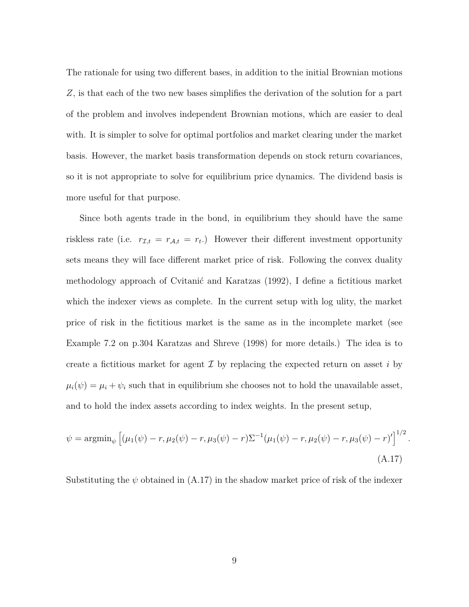The rationale for using two different bases, in addition to the initial Brownian motions *Z*, is that each of the two new bases simplifies the derivation of the solution for a part of the problem and involves independent Brownian motions, which are easier to deal with. It is simpler to solve for optimal portfolios and market clearing under the market basis. However, the market basis transformation depends on stock return covariances, so it is not appropriate to solve for equilibrium price dynamics. The dividend basis is more useful for that purpose.

Since both agents trade in the bond, in equilibrium they should have the same riskless rate (i.e.  $r_{\mathcal{I},t} = r_{\mathcal{A},t} = r_t$ .) However their different investment opportunity sets means they will face different market price of risk. Following the convex duality methodology approach of Cvitanić and Karatzas (1992), I define a fictitious market which the indexer views as complete. In the current setup with log ulity, the market price of risk in the fictitious market is the same as in the incomplete market (see Example 7.2 on p.304 Karatzas and Shreve (1998) for more details.) The idea is to create a fictitious market for agent  $\mathcal I$  by replacing the expected return on asset *i* by  $\mu_i(\psi) = \mu_i + \psi_i$  such that in equilibrium she chooses not to hold the unavailable asset, and to hold the index assets according to index weights. In the present setup,

$$
\psi = \operatorname{argmin}_{\psi} \left[ (\mu_1(\psi) - r, \mu_2(\psi) - r, \mu_3(\psi) - r) \Sigma^{-1} (\mu_1(\psi) - r, \mu_2(\psi) - r, \mu_3(\psi) - r)' \right]^{1/2}
$$
\n(A.17)

*.*

Substituting the  $\psi$  obtained in (A.17) in the shadow market price of risk of the indexer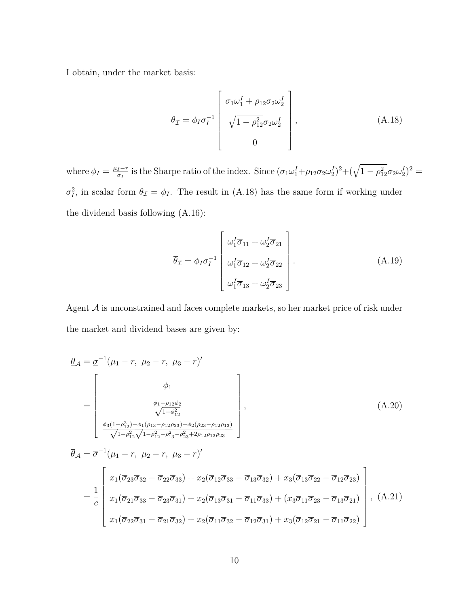I obtain, under the market basis:

$$
\underline{\theta}_{\mathcal{I}} = \phi_I \sigma_I^{-1} \begin{bmatrix} \sigma_1 \omega_1^I + \rho_{12} \sigma_2 \omega_2^I \\ \sqrt{1 - \rho_{12}^2} \sigma_2 \omega_2^I \\ 0 \end{bmatrix},
$$
\n(A.18)

where  $\phi_I = \frac{\mu_I - r}{\sigma_I}$ *<u>σ</u><sub><i>I*</sub></sub> is the Sharpe ratio of the index. Since  $(\sigma_1 \omega_1^I + \rho_{12} \sigma_2 \omega_2^I)^2 + (\sqrt{1 - \rho_{12}^2} \sigma_2 \omega_2^I)^2$  =  $\sigma_I^2$ , in scalar form  $\theta_{\mathcal{I}} = \phi_I$ . The result in (A.18) has the same form if working under the dividend basis following (A.16):

$$
\overline{\theta}_{\mathcal{I}} = \phi_I \sigma_I^{-1} \begin{bmatrix} \omega_1^I \overline{\sigma}_{11} + \omega_2^I \overline{\sigma}_{21} \\ \omega_1^I \overline{\sigma}_{12} + \omega_2^I \overline{\sigma}_{22} \\ \omega_1^I \overline{\sigma}_{13} + \omega_2^I \overline{\sigma}_{23} \end{bmatrix} .
$$
\n(A.19)

Agent  $A$  is unconstrained and faces complete markets, so her market price of risk under the market and dividend bases are given by:

$$
\frac{\theta_{\mathcal{A}} = \underline{\sigma}^{-1}(\mu_1 - r, \ \mu_2 - r, \ \mu_3 - r)'}{\varphi_1}
$$
\n
$$
= \begin{bmatrix}\n\phi_1 \\
\frac{\phi_1 - \rho_{12}\phi_2}{\sqrt{1 - \phi_{12}^2}} \\
\frac{\phi_3(1 - \rho_{12}^2) - \phi_1(\rho_{13} - \rho_{12}\rho_{23}) - \phi_2(\rho_{23} - \rho_{12}\rho_{13})}{\sqrt{1 - \rho_{12}^2}\sqrt{1 - \rho_{12}^2 - \rho_{13}^2 - \rho_{23}^2 + 2\rho_{12}\rho_{13}\rho_{23}}}\n\end{bmatrix},
$$
\n(A.20)

$$
\overline{\theta}_{\mathcal{A}} = \overline{\sigma}^{-1} (\mu_1 - r, \ \mu_2 - r, \ \mu_3 - r)'
$$
\n
$$
= \frac{1}{c} \begin{bmatrix} x_1(\overline{\sigma}_{23}\overline{\sigma}_{32} - \overline{\sigma}_{22}\overline{\sigma}_{33}) + x_2(\overline{\sigma}_{12}\overline{\sigma}_{33} - \overline{\sigma}_{13}\overline{\sigma}_{32}) + x_3(\overline{\sigma}_{13}\overline{\sigma}_{22} - \overline{\sigma}_{12}\overline{\sigma}_{23}) \\ x_1(\overline{\sigma}_{21}\overline{\sigma}_{33} - \overline{\sigma}_{23}\overline{\sigma}_{31}) + x_2(\overline{\sigma}_{13}\overline{\sigma}_{31} - \overline{\sigma}_{11}\overline{\sigma}_{33}) + (x_3\overline{\sigma}_{11}\overline{\sigma}_{23} - \overline{\sigma}_{13}\overline{\sigma}_{21}) \\ x_1(\overline{\sigma}_{22}\overline{\sigma}_{31} - \overline{\sigma}_{21}\overline{\sigma}_{32}) + x_2(\overline{\sigma}_{11}\overline{\sigma}_{32} - \overline{\sigma}_{12}\overline{\sigma}_{31}) + x_3(\overline{\sigma}_{12}\overline{\sigma}_{21} - \overline{\sigma}_{11}\overline{\sigma}_{22}) \end{bmatrix}, \ (A.21)
$$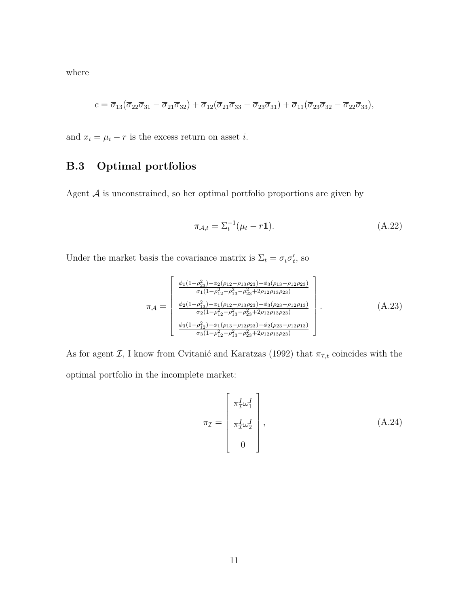where

$$
c = \overline{\sigma}_{13}(\overline{\sigma}_{22}\overline{\sigma}_{31}-\overline{\sigma}_{21}\overline{\sigma}_{32})+\overline{\sigma}_{12}(\overline{\sigma}_{21}\overline{\sigma}_{33}-\overline{\sigma}_{23}\overline{\sigma}_{31})+\overline{\sigma}_{11}(\overline{\sigma}_{23}\overline{\sigma}_{32}-\overline{\sigma}_{22}\overline{\sigma}_{33}),
$$

and  $x_i = \mu_i - r$  is the excess return on asset *i*.

## **B.3 Optimal portfolios**

Agent  ${\mathcal A}$  is unconstrained, so her optimal portfolio proportions are given by

$$
\pi_{A,t} = \Sigma_t^{-1}(\mu_t - r\mathbf{1}).\tag{A.22}
$$

Under the market basis the covariance matrix is  $\Sigma_t = \underline{\sigma}_t \underline{\sigma}'_t$ , so

$$
\pi_{\mathcal{A}} = \begin{bmatrix} \frac{\phi_1(1-\rho_{23}^2) - \phi_2(\rho_{12}-\rho_{13}\rho_{23}) - \phi_3(\rho_{13}-\rho_{12}\rho_{23})}{\sigma_1(1-\rho_{12}^2 - \rho_{13}^2 - \rho_{23}^2 + 2\rho_{12}\rho_{13}\rho_{23})} \\ \frac{\phi_2(1-\rho_{13}^2) - \phi_1(\rho_{12}-\rho_{13}\rho_{23}) - \phi_3(\rho_{23}-\rho_{12}\rho_{13})}{\sigma_2(1-\rho_{12}^2 - \rho_{13}^2 - \rho_{23}^2 + 2\rho_{12}\rho_{13}\rho_{23})} \\ \frac{\phi_3(1-\rho_{12}^2) - \phi_1(\rho_{13}-\rho_{12}\rho_{23}) - \phi_2(\rho_{23}-\rho_{12}\rho_{13})}{\sigma_3(1-\rho_{12}^2 - \rho_{13}^2 - \rho_{23}^2 + 2\rho_{12}\rho_{13}\rho_{23})} \end{bmatrix} .
$$
\n(A.23)

As for agent  $\mathcal{I}$ , I know from Cvitanić and Karatzas (1992) that  $\pi_{\mathcal{I},t}$  coincides with the optimal portfolio in the incomplete market:

$$
\pi_{\mathcal{I}} = \begin{bmatrix} \pi_{\mathcal{I}}^I \omega_1^I \\ \pi_{\mathcal{I}}^I \omega_2^I \\ 0 \end{bmatrix},
$$
\n(A.24)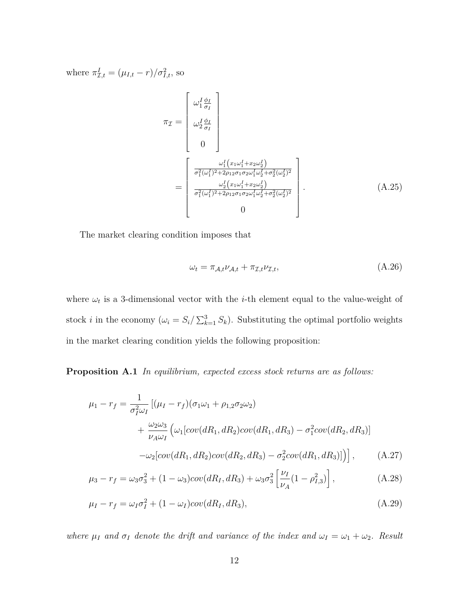where  $\pi_{\mathcal{I},t}^I = (\mu_{I,t} - r)/\sigma_{I,t}^2$ , so

$$
\pi_{\mathcal{I}} = \begin{bmatrix} \omega_1^I \frac{\phi_I}{\sigma_I} \\ \omega_2^I \frac{\phi_I}{\sigma_I} \\ 0 \end{bmatrix}
$$
\n
$$
= \begin{bmatrix} \frac{\omega_1^I (x_1 \omega_1^I + x_2 \omega_2^I)}{\sigma_1^2 (\omega_1^I)^2 + 2 \rho_{12} \sigma_1 \sigma_2 \omega_1^I \omega_2^I + \sigma_2^2 (\omega_2^I)^2} \\ \frac{\omega_2^I (x_1 \omega_1^I + x_2 \omega_2^I)}{\sigma_1^2 (\omega_1^I)^2 + 2 \rho_{12} \sigma_1 \sigma_2 \omega_1^I \omega_2^I + \sigma_2^2 (\omega_2^I)^2} \\ 0 \end{bmatrix} .
$$
\n(A.25)

The market clearing condition imposes that

$$
\omega_t = \pi_{\mathcal{A},t} \nu_{\mathcal{A},t} + \pi_{\mathcal{I},t} \nu_{\mathcal{I},t},\tag{A.26}
$$

where  $\omega_t$  is a 3-dimensional vector with the *i*-th element equal to the value-weight of stock *i* in the economy  $(\omega_i = S_i / \sum_{k=1}^3 S_k)$ . Substituting the optimal portfolio weights in the market clearing condition yields the following proposition:

**Proposition A.1** *In equilibrium, expected excess stock returns are as follows:*

$$
\mu_1 - r_f = \frac{1}{\sigma_I^2 \omega_I} \left[ (\mu_I - r_f)(\sigma_1 \omega_1 + \rho_{1,2} \sigma_2 \omega_2) + \frac{\omega_2 \omega_3}{\nu_A \omega_I} \left( \omega_1 [cov(dR_1, dR_2) cov(dR_1, dR_3) - \sigma_I^2 cov(dR_2, dR_3) \right) - \omega_2 [cov(dR_1, dR_2) cov(dR_2, dR_3) - \sigma_I^2 cov(dR_1, dR_3)] \right], \tag{A.27}
$$

$$
\mu_3 - r_f = \omega_3 \sigma_3^2 + (1 - \omega_3)cov(dR_I, dR_3) + \omega_3 \sigma_3^2 \left[ \frac{\nu_I}{\nu_A} (1 - \rho_{I,3}^2) \right],
$$
 (A.28)

$$
\mu_I - r_f = \omega_I \sigma_I^2 + (1 - \omega_I) \text{cov}(dR_I, dR_3), \tag{A.29}
$$

*where*  $\mu_I$  *and*  $\sigma_I$  *denote the drift and variance of the index and*  $\omega_I = \omega_1 + \omega_2$ *. Result*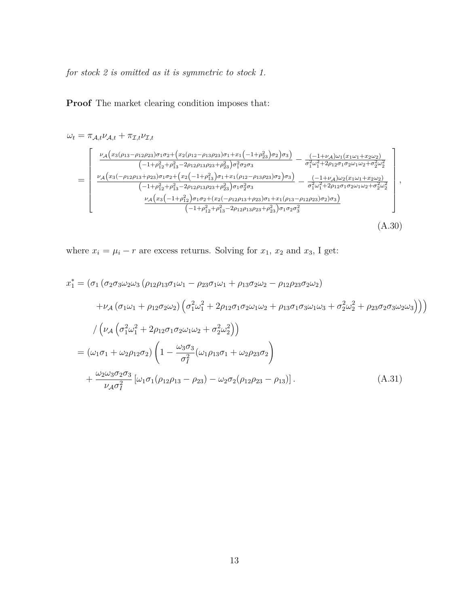*for stock 2 is omitted as it is symmetric to stock 1.*

**Proof** The market clearing condition imposes that:

$$
\omega_{t} = \pi_{\mathcal{A},t} \nu_{\mathcal{A},t} + \pi_{\mathcal{I},t} \nu_{\mathcal{I},t}
$$
\n
$$
= \begin{bmatrix}\n\frac{\nu_{\mathcal{A}}(x_{3}(\rho_{13}-\rho_{12}\rho_{23})\sigma_{1}\sigma_{2} + (x_{2}(\rho_{12}-\rho_{13}\rho_{23})\sigma_{1} + x_{1}(-1+\rho_{23}^{2})\sigma_{2})\sigma_{3})}{(-1+\rho_{12}^{2}+\rho_{13}^{2}-2\rho_{12}\rho_{13}\rho_{23}+\rho_{23}^{2})\sigma_{1}^{2}\sigma_{2}\sigma_{3}} - \frac{(-1+\nu_{\mathcal{A}})\omega_{1}(x_{1}\omega_{1}+x_{2}\omega_{2})}{\sigma_{1}^{2}\omega_{1}^{2}+2\rho_{12}\sigma_{1}\sigma_{2}\omega_{1}\omega_{2}+\sigma_{2}^{2}\omega_{2}^{2}} \\
\frac{\nu_{\mathcal{A}}(x_{3}(-\rho_{12}\rho_{13}+\rho_{23})\sigma_{1}\sigma_{2} + (x_{2}(-1+\rho_{13}^{2})\sigma_{1} + x_{1}(\rho_{12}-\rho_{13}\rho_{23})\sigma_{2})\sigma_{3})}{(-1+\rho_{12}^{2}+\rho_{13}^{2}-2\rho_{12}\rho_{13}\rho_{23}+\rho_{23}^{2})\sigma_{1}\sigma_{2}^{2}\sigma_{3}} - \frac{(-1+\nu_{\mathcal{A}})\omega_{2}(x_{1}\omega_{1}+x_{2}\omega_{2})}{\sigma_{1}^{2}\omega_{1}^{2}+2\rho_{12}\sigma_{1}\sigma_{2}\omega_{1}\omega_{2}+\sigma_{2}^{2}\omega_{2}^{2}} \\
\frac{\nu_{\mathcal{A}}(x_{3}(-1+\rho_{12}^{2})\sigma_{1}\sigma_{2}+(x_{2}(-\rho_{12}\rho_{13}+\rho_{23})\sigma_{1}+x_{1}(\rho_{13}-\rho_{12}\rho_{23})\sigma_{2})\sigma_{3})}{(-1+\rho_{12}^{2}+\rho_{13}^{2}-2\rho_{12}\rho_{13}\rho_{23}+\rho_{23}^{2})\sigma_{1}\sigma_{2}\sigma_{3}^{2}}\n\end{bmatrix},
$$
\n(A.30)

where  $x_i = \mu_i - r$  are excess returns. Solving for  $x_1$ ,  $x_2$  and  $x_3$ , I get:

$$
x_1^* = (\sigma_1 (\sigma_2 \sigma_3 \omega_2 \omega_3 (\rho_{12} \rho_{13} \sigma_1 \omega_1 - \rho_{23} \sigma_1 \omega_1 + \rho_{13} \sigma_2 \omega_2 - \rho_{12} \rho_{23} \sigma_2 \omega_2)) + \nu_A (\sigma_1 \omega_1 + \rho_{12} \sigma_2 \omega_2) (\sigma_1^2 \omega_1^2 + 2 \rho_{12} \sigma_1 \sigma_2 \omega_1 \omega_2 + \rho_{13} \sigma_1 \sigma_3 \omega_1 \omega_3 + \sigma_2^2 \omega_2^2 + \rho_{23} \sigma_2 \sigma_3 \omega_2 \omega_3))) / \left( \nu_A (\sigma_1^2 \omega_1^2 + 2 \rho_{12} \sigma_1 \sigma_2 \omega_1 \omega_2 + \sigma_2^2 \omega_2^2) \right) = (\omega_1 \sigma_1 + \omega_2 \rho_{12} \sigma_2) \left( 1 - \frac{\omega_3 \sigma_3}{\sigma_1^2} (\omega_1 \rho_{13} \sigma_1 + \omega_2 \rho_{23} \sigma_2) + \frac{\omega_2 \omega_3 \sigma_2 \sigma_3}{\nu_A \sigma_1^2} [\omega_1 \sigma_1 (\rho_{12} \rho_{13} - \rho_{23}) - \omega_2 \sigma_2 (\rho_{12} \rho_{23} - \rho_{13})]. \tag{A.31}
$$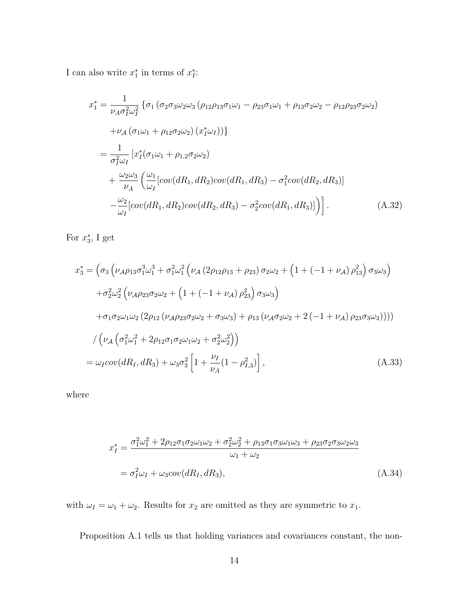I can also write  $x_1^*$  in terms of  $x_i^*$ :

$$
x_1^* = \frac{1}{\nu_A \sigma_I^2 \omega_I^2} \left\{ \sigma_1 \left( \sigma_2 \sigma_3 \omega_2 \omega_3 \left( \rho_{12} \rho_{13} \sigma_1 \omega_1 - \rho_{23} \sigma_1 \omega_1 + \rho_{13} \sigma_2 \omega_2 - \rho_{12} \rho_{23} \sigma_2 \omega_2 \right) \right. \\ \left. + \nu_A \left( \sigma_1 \omega_1 + \rho_{12} \sigma_2 \omega_2 \right) \left( x_I^* \omega_I \right) \right\} \\ = \frac{1}{\sigma_I^2 \omega_I} \left[ x_I^* \left( \sigma_1 \omega_1 + \rho_{1,2} \sigma_2 \omega_2 \right) \\ + \frac{\omega_2 \omega_3}{\nu_A} \left( \frac{\omega_1}{\omega_I} \left[ cov(dR_1, dR_2) cov(dR_1, dR_3) - \sigma_I^2 cov(dR_2, dR_3) \right] \right. \\ \left. - \frac{\omega_2}{\omega_I} \left[ cov(dR_1, dR_2) cov(dR_2, dR_3) - \sigma_I^2 cov(dR_1, dR_3) \right] \right) \right]. \tag{A.32}
$$

For  $x_3^*$ , I get

$$
x_3^* = \left(\sigma_3 \left(\nu_{A}\rho_{13}\sigma_1^3\omega_1^3 + \sigma_1^2\omega_1^2 \left(\nu_{A} \left(2\rho_{12}\rho_{13} + \rho_{23}\right)\sigma_2\omega_2 + \left(1 + \left(-1 + \nu_{A}\right)\rho_{13}^2\right)\sigma_3\omega_3\right)\right.\right. \\
\left. + \sigma_2^2\omega_2^2 \left(\nu_{A}\rho_{23}\sigma_2\omega_2 + \left(1 + \left(-1 + \nu_{A}\right)\rho_{23}^2\right)\sigma_3\omega_3\right) \\
+ \sigma_1\sigma_2\omega_1\omega_2 \left(2\rho_{12} \left(\nu_{A}\rho_{23}\sigma_2\omega_2 + \sigma_3\omega_3\right) + \rho_{13} \left(\nu_{A}\sigma_2\omega_2 + 2\left(-1 + \nu_{A}\right)\rho_{23}\sigma_3\omega_3\right)\right)\right)\right) \\
\quad / \left(\nu_{A} \left(\sigma_1^2\omega_1^2 + 2\rho_{12}\sigma_1\sigma_2\omega_1\omega_2 + \sigma_2^2\omega_2^2\right)\right) \\
= \omega_I cov(dR_I, dR_3) + \omega_3\sigma_3^2 \left[1 + \frac{\nu_I}{\nu_A}(1 - \rho_{I,3}^2)\right],\n\tag{A.33}
$$

where

$$
x_I^* = \frac{\sigma_1^2 \omega_1^2 + 2\rho_{12}\sigma_1\sigma_2\omega_1\omega_2 + \sigma_2^2 \omega_2^2 + \rho_{13}\sigma_1\sigma_3\omega_1\omega_3 + \rho_{23}\sigma_2\sigma_3\omega_2\omega_3}{\omega_1 + \omega_2}
$$
  
=  $\sigma_I^2 \omega_I + \omega_3 cov(dR_I, dR_3)$ , (A.34)

with  $\omega_I = \omega_1 + \omega_2$ . Results for  $x_2$  are omitted as they are symmetric to  $x_1$ .

Proposition A.1 tells us that holding variances and covariances constant, the non-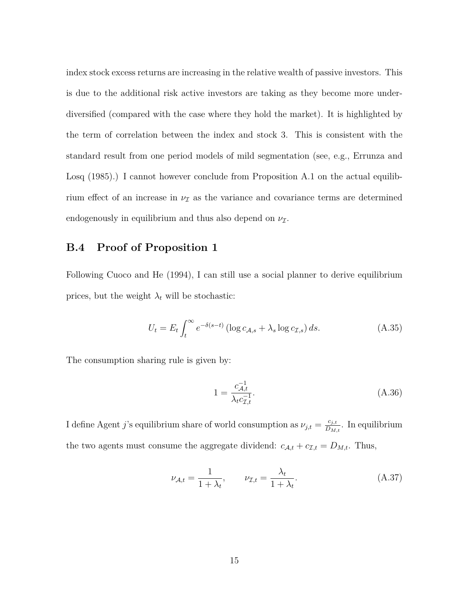index stock excess returns are increasing in the relative wealth of passive investors. This is due to the additional risk active investors are taking as they become more underdiversified (compared with the case where they hold the market). It is highlighted by the term of correlation between the index and stock 3. This is consistent with the standard result from one period models of mild segmentation (see, e.g., Errunza and Losq (1985).) I cannot however conclude from Proposition A.1 on the actual equilibrium effect of an increase in  $\nu$ <sub>I</sub> as the variance and covariance terms are determined endogenously in equilibrium and thus also depend on  $\nu_{\mathcal{I}}$ .

### **B.4 Proof of Proposition 1**

Following Cuoco and He (1994), I can still use a social planner to derive equilibrium prices, but the weight  $\lambda_t$  will be stochastic:

$$
U_t = E_t \int_t^{\infty} e^{-\delta(s-t)} \left( \log c_{\mathcal{A},s} + \lambda_s \log c_{\mathcal{I},s} \right) ds.
$$
 (A.35)

The consumption sharing rule is given by:

$$
1 = \frac{c_{\mathcal{A},t}^{-1}}{\lambda_t c_{\mathcal{I},t}^{-1}}.
$$
\n(A.36)

I define Agent *j*'s equilibrium share of world consumption as  $\nu_{j,t} = \frac{c_{j,t}}{D_M}$  $\frac{c_{j,t}}{D_{M,t}}$ . In equilibrium the two agents must consume the aggregate dividend:  $c_{A,t} + c_{\mathcal{I},t} = D_{M,t}$ . Thus,

$$
\nu_{\mathcal{A},t} = \frac{1}{1 + \lambda_t}, \qquad \nu_{\mathcal{I},t} = \frac{\lambda_t}{1 + \lambda_t}.
$$
\n(A.37)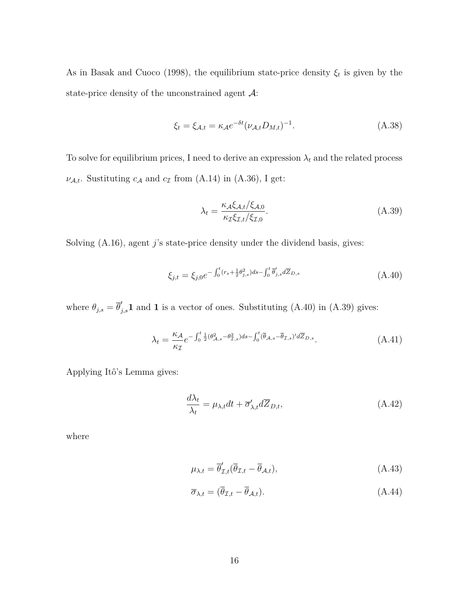As in Basak and Cuoco (1998), the equilibrium state-price density  $\xi_t$  is given by the state-price density of the unconstrained agent  $\mathcal{A}$ :

$$
\xi_t = \xi_{\mathcal{A},t} = \kappa_{\mathcal{A}} e^{-\delta t} (\nu_{\mathcal{A},t} D_{M,t})^{-1}.
$$
\n(A.38)

To solve for equilibrium prices, I need to derive an expression  $\lambda_t$  and the related process  $\nu_{A,t}$ . Sustituting  $c_A$  and  $c_I$  from (A.14) in (A.36), I get:

$$
\lambda_t = \frac{\kappa_A \xi_{A,t} / \xi_{A,0}}{\kappa_{\mathcal{I}} \xi_{\mathcal{I},t} / \xi_{\mathcal{I},0}}.\tag{A.39}
$$

Solving (A.16), agent *j*'s state-price density under the dividend basis, gives:

$$
\xi_{j,t} = \xi_{j,0} e^{-\int_0^t (r_s + \frac{1}{2} \theta_{j,s}^2) ds - \int_0^t \bar{\theta}'_{j,s} d\overline{Z}_{D,s}} \tag{A.40}
$$

where  $\theta_{j,s} = \overline{\theta}'_{j,s}$ **1** and **1** is a vector of ones. Substituting (A.40) in (A.39) gives:

$$
\lambda_t = \frac{\kappa_{\mathcal{A}}}{\kappa_{\mathcal{I}}} e^{-\int_0^t \frac{1}{2} (\theta_{\mathcal{A},s}^2 - \theta_{\mathcal{I},s}^2) ds - \int_0^t (\overline{\theta}_{\mathcal{A},s} - \overline{\theta}_{\mathcal{I},s})' d\overline{Z}_{D,s}}.
$$
(A.41)

Applying Itô's Lemma gives:

$$
\frac{d\lambda_t}{\lambda_t} = \mu_{\lambda,t} dt + \overline{\sigma}_{\lambda,t}' d\overline{Z}_{D,t},
$$
\n(A.42)

where

$$
\mu_{\lambda,t} = \overline{\theta}'_{\mathcal{I},t}(\overline{\theta}_{\mathcal{I},t} - \overline{\theta}_{\mathcal{A},t}),\tag{A.43}
$$

$$
\overline{\sigma}_{\lambda,t} = (\overline{\theta}_{\mathcal{I},t} - \overline{\theta}_{\mathcal{A},t}). \tag{A.44}
$$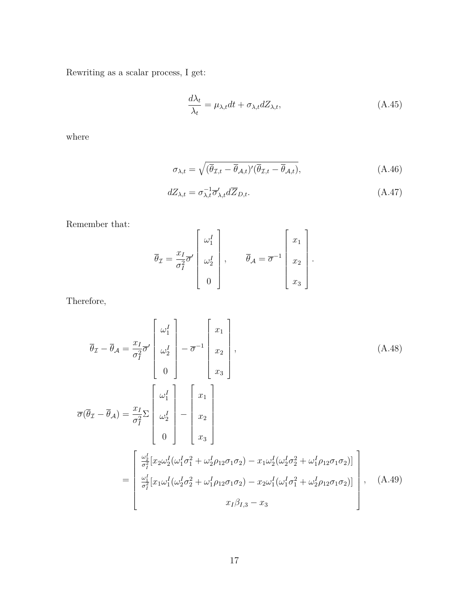Rewriting as a scalar process, I get:

$$
\frac{d\lambda_t}{\lambda_t} = \mu_{\lambda,t} dt + \sigma_{\lambda,t} dZ_{\lambda,t},
$$
\n(A.45)

where

$$
\sigma_{\lambda,t} = \sqrt{(\overline{\theta}_{\mathcal{I},t} - \overline{\theta}_{\mathcal{A},t})'(\overline{\theta}_{\mathcal{I},t} - \overline{\theta}_{\mathcal{A},t})},\tag{A.46}
$$

$$
dZ_{\lambda,t} = \sigma_{\lambda,t}^{-1} \overline{\sigma}_{\lambda,t}' d\overline{Z}_{D,t}.
$$
\n(A.47)

Remember that:

$$
\overline{\theta}_{\mathcal{I}} = \frac{x_I}{\sigma_I^2} \overline{\sigma}' \begin{bmatrix} \omega_1^I \\ \omega_2^I \\ 0 \end{bmatrix}, \qquad \overline{\theta}_{\mathcal{A}} = \overline{\sigma}^{-1} \begin{bmatrix} x_1 \\ x_2 \\ x_3 \end{bmatrix}.
$$

Therefore,

$$
\overline{\theta}_{\mathcal{I}} - \overline{\theta}_{\mathcal{A}} = \frac{x_{I}}{\sigma_{I}^{2}} \overline{\sigma}^{\prime} \begin{bmatrix} \omega_{1}^{I} \\ \omega_{2}^{I} \\ 0 \end{bmatrix} - \overline{\sigma}^{-1} \begin{bmatrix} x_{1} \\ x_{2} \\ x_{3} \end{bmatrix},
$$
\n(A.48)  
\n
$$
\overline{\sigma}(\overline{\theta}_{\mathcal{I}} - \overline{\theta}_{\mathcal{A}}) = \frac{x_{I}}{\sigma_{I}^{2}} \sum_{\mathcal{I}} \begin{bmatrix} \omega_{1}^{I} \\ \omega_{2}^{I} \\ 0 \end{bmatrix} - \begin{bmatrix} x_{1} \\ x_{2} \\ x_{3} \end{bmatrix}
$$
\n
$$
= \begin{bmatrix} \frac{\omega_{I}^{I}}{\sigma_{I}^{2}} [x_{2} \omega_{2}^{I} (\omega_{1}^{I} \sigma_{1}^{2} + \omega_{2}^{I} \rho_{12} \sigma_{1} \sigma_{2}) - x_{1} \omega_{2}^{I} (\omega_{2}^{I} \sigma_{2}^{2} + \omega_{1}^{I} \rho_{12} \sigma_{1} \sigma_{2})] \\ \frac{\omega_{I}^{I}}{\sigma_{I}^{2}} [x_{1} \omega_{1}^{I} (\omega_{2}^{I} \sigma_{2}^{2} + \omega_{1}^{I} \rho_{12} \sigma_{1} \sigma_{2}) - x_{2} \omega_{1}^{I} (\omega_{1}^{I} \sigma_{1}^{2} + \omega_{2}^{I} \rho_{12} \sigma_{1} \sigma_{2})] \\ x_{I} \beta_{I,3} - x_{3} \end{bmatrix},
$$
\n(A.49)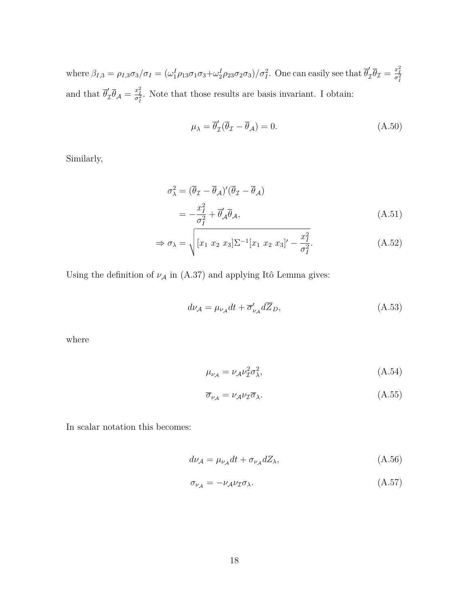where  $\beta_{I,3} = \rho_{I,3}\sigma_3/\sigma_I = (\omega_1^I \rho_{13}\sigma_1\sigma_3 + \omega_2^I \rho_{23}\sigma_2\sigma_3)/\sigma_I^2$ . One can easily see that  $\overline{\theta}_2^I$  $\frac{d}{dt}$  $\overline{\theta}_{\mathcal{I}} = \frac{x_I^2}{\sigma_I^2}$ and that  $\overline{\theta}'_2$  $\int_{\mathcal{I}}' \overline{\theta}_{\mathcal{A}} = \frac{x_i^2}{\sigma_i^2}$ . Note that those results are basis invariant. I obtain:

$$
\mu_{\lambda} = \overline{\theta}_{\mathcal{I}}'(\overline{\theta}_{\mathcal{I}} - \overline{\theta}_{\mathcal{A}}) = 0. \tag{A.50}
$$

Similarly,

$$
\sigma_{\lambda}^{2} = (\overline{\theta}_{\mathcal{I}} - \overline{\theta}_{\mathcal{A}})'(\overline{\theta}_{\mathcal{I}} - \overline{\theta}_{\mathcal{A}})
$$
  
= 
$$
-\frac{x_{I}^{2}}{\sigma_{I}^{2}} + \overline{\theta}_{\mathcal{A}}' \overline{\theta}_{\mathcal{A}},
$$
 (A.51)

$$
\Rightarrow \sigma_{\lambda} = \sqrt{[x_1 \ x_2 \ x_3] \Sigma^{-1} [x_1 \ x_2 \ x_3]' - \frac{x_1^2}{\sigma_1^2}}.
$$
 (A.52)

Using the definition of  $\nu_{\mathcal{A}}$  in (A.37) and applying Itô Lemma gives:

$$
d\nu_{\mathcal{A}} = \mu_{\nu_{\mathcal{A}}} dt + \overline{\sigma}_{\nu_{\mathcal{A}}}^{\prime} d\overline{Z}_D, \tag{A.53}
$$

where

$$
\mu_{\nu_{\mathcal{A}}} = \nu_{\mathcal{A}} \nu_{\mathcal{I}}^2 \sigma_{\lambda}^2,\tag{A.54}
$$

$$
\overline{\sigma}_{\nu_{\mathcal{A}}} = \nu_{\mathcal{A}} \nu_{\mathcal{I}} \overline{\sigma}_{\lambda}.
$$
\n(A.55)

In scalar notation this becomes:

$$
d\nu_{\mathcal{A}} = \mu_{\nu_{\mathcal{A}}} dt + \sigma_{\nu_{\mathcal{A}}} dZ_{\lambda},\tag{A.56}
$$

$$
\sigma_{\nu_{\mathcal{A}}} = -\nu_{\mathcal{A}}\nu_{\mathcal{I}}\sigma_{\lambda}.\tag{A.57}
$$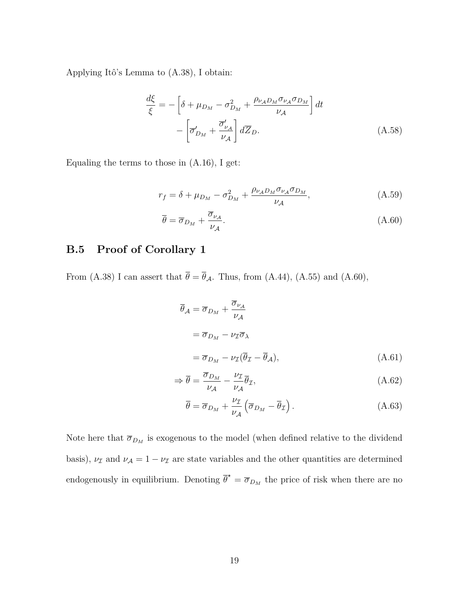Applying Itô's Lemma to (A.38), I obtain:

$$
\frac{d\xi}{\xi} = -\left[\delta + \mu_{D_M} - \sigma_{D_M}^2 + \frac{\rho_{\nu_A D_M} \sigma_{\nu_A} \sigma_{D_M}}{\nu_A}\right] dt
$$

$$
- \left[\overline{\sigma}_{D_M}^{\prime} + \frac{\overline{\sigma}_{\nu_A}^{\prime}}{\nu_A}\right] d\overline{Z}_D.
$$
(A.58)

Equaling the terms to those in (A.16), I get:

$$
r_f = \delta + \mu_{DM} - \sigma_{DM}^2 + \frac{\rho_{\nu_A D_M} \sigma_{\nu_A} \sigma_{DM}}{\nu_A},
$$
\n(A.59)

$$
\overline{\theta} = \overline{\sigma}_{D_M} + \frac{\overline{\sigma}_{\nu_A}}{\nu_A}.
$$
\n(A.60)

## **B.5 Proof of Corollary 1**

From (A.38) I can assert that  $\bar{\theta} = \bar{\theta}_{A}$ . Thus, from (A.44), (A.55) and (A.60),

$$
\overline{\theta}_{\mathcal{A}} = \overline{\sigma}_{D_M} + \frac{\overline{\sigma}_{\nu_{\mathcal{A}}}}{\nu_{\mathcal{A}}}
$$
  
=  $\overline{\sigma}_{D_M} - \nu_{\mathcal{I}} \overline{\sigma}_{\lambda}$   
=  $\overline{\sigma}_{D_M} - \nu_{\mathcal{I}} (\overline{\theta}_{\mathcal{I}} - \overline{\theta}_{\mathcal{A}}),$  (A.61)

$$
\Rightarrow \overline{\theta} = \frac{\overline{\sigma}_{D_M}}{\nu_{\mathcal{A}}} - \frac{\nu_{\mathcal{I}}}{\nu_{\mathcal{A}}} \overline{\theta}_{\mathcal{I}},\tag{A.62}
$$

$$
\overline{\theta} = \overline{\sigma}_{D_M} + \frac{\nu_{\mathcal{I}}}{\nu_{\mathcal{A}}} \left( \overline{\sigma}_{D_M} - \overline{\theta}_{\mathcal{I}} \right). \tag{A.63}
$$

Note here that  $\overline{\sigma}_{D_M}$  is exogenous to the model (when defined relative to the dividend basis),  $\nu_{\mathcal{I}}$  and  $\nu_{\mathcal{A}} = 1 - \nu_{\mathcal{I}}$  are state variables and the other quantities are determined endogenously in equilibrium. Denoting  $\overline{\theta}^* = \overline{\sigma}_{D_M}$  the price of risk when there are no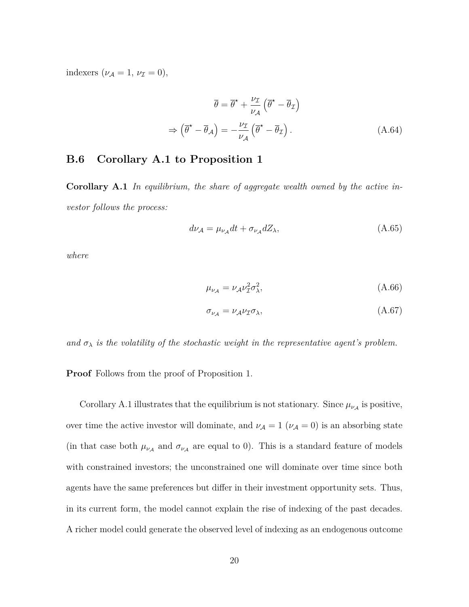indexers  $(\nu_A = 1, \nu_I = 0),$ 

$$
\overline{\theta} = \overline{\theta}^{\star} + \frac{\nu_{\mathcal{I}}}{\nu_{\mathcal{A}}} \left( \overline{\theta}^{\star} - \overline{\theta}_{\mathcal{I}} \right)
$$

$$
\Rightarrow \left( \overline{\theta}^{\star} - \overline{\theta}_{\mathcal{A}} \right) = -\frac{\nu_{\mathcal{I}}}{\nu_{\mathcal{A}}} \left( \overline{\theta}^{\star} - \overline{\theta}_{\mathcal{I}} \right). \tag{A.64}
$$

### **B.6 Corollary A.1 to Proposition 1**

**Corollary A.1** *In equilibrium, the share of aggregate wealth owned by the active investor follows the process:*

$$
d\nu_{\mathcal{A}} = \mu_{\nu_{\mathcal{A}}} dt + \sigma_{\nu_{\mathcal{A}}} dZ_{\lambda},\tag{A.65}
$$

*where*

$$
\mu_{\nu_{\mathcal{A}}} = \nu_{\mathcal{A}} \nu_{\mathcal{I}}^2 \sigma_{\lambda}^2,\tag{A.66}
$$

$$
\sigma_{\nu_{\mathcal{A}}} = \nu_{\mathcal{A}} \nu_{\mathcal{I}} \sigma_{\lambda},\tag{A.67}
$$

*and*  $\sigma_{\lambda}$  *is the volatility of the stochastic weight in the representative agent's problem.* 

**Proof** Follows from the proof of Proposition 1.

Corollary A.1 illustrates that the equilibrium is not stationary. Since  $\mu_{\nu_A}$  is positive, over time the active investor will dominate, and  $\nu_A = 1$  ( $\nu_A = 0$ ) is an absorbing state (in that case both  $\mu_{\nu_A}$  and  $\sigma_{\nu_A}$  are equal to 0). This is a standard feature of models with constrained investors; the unconstrained one will dominate over time since both agents have the same preferences but differ in their investment opportunity sets. Thus, in its current form, the model cannot explain the rise of indexing of the past decades. A richer model could generate the observed level of indexing as an endogenous outcome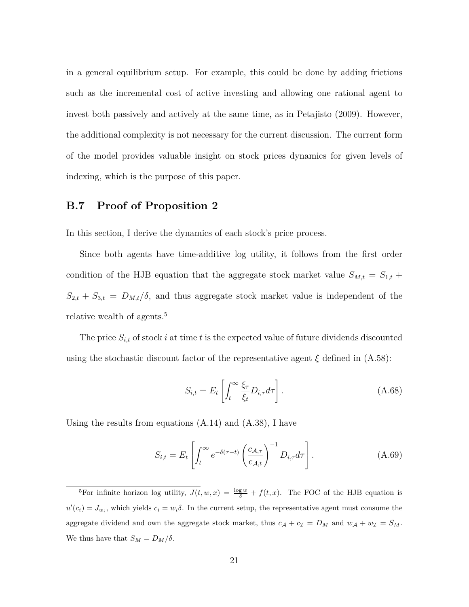in a general equilibrium setup. For example, this could be done by adding frictions such as the incremental cost of active investing and allowing one rational agent to invest both passively and actively at the same time, as in Petajisto (2009). However, the additional complexity is not necessary for the current discussion. The current form of the model provides valuable insight on stock prices dynamics for given levels of indexing, which is the purpose of this paper.

### **B.7 Proof of Proposition 2**

In this section, I derive the dynamics of each stock's price process.

Since both agents have time-additive log utility, it follows from the first order condition of the HJB equation that the aggregate stock market value  $S_{M,t} = S_{1,t} +$  $S_{2,t} + S_{3,t} = D_{M,t}/\delta$ , and thus aggregate stock market value is independent of the relative wealth of agents.<sup>5</sup>

The price  $S_{i,t}$  of stock  $i$  at time  $t$  is the expected value of future dividends discounted using the stochastic discount factor of the representative agent  $\xi$  defined in  $(A.58)$ :

$$
S_{i,t} = E_t \left[ \int_t^\infty \frac{\xi_\tau}{\xi_t} D_{i,\tau} d\tau \right]. \tag{A.68}
$$

Using the results from equations (A.14) and (A.38), I have

$$
S_{i,t} = E_t \left[ \int_t^{\infty} e^{-\delta(\tau - t)} \left( \frac{c_{\mathcal{A},\tau}}{c_{\mathcal{A},t}} \right)^{-1} D_{i,\tau} d\tau \right]. \tag{A.69}
$$

<sup>&</sup>lt;sup>5</sup>For infinite horizon log utility,  $J(t, w, x) = \frac{\log w}{\delta} + f(t, x)$ . The FOC of the HJB equation is  $u'(c_i) = J_{w_i}$ , which yields  $c_i = w_i \delta$ . In the current setup, the representative agent must consume the aggregate dividend and own the aggregate stock market, thus  $c_A + c_I = D_M$  and  $w_A + w_I = S_M$ . We thus have that  $S_M = D_M/\delta$ .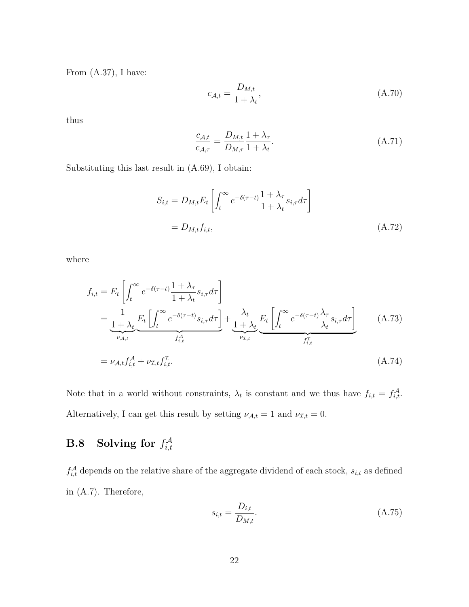From (A.37), I have:

$$
c_{\mathcal{A},t} = \frac{D_{M,t}}{1 + \lambda_t},\tag{A.70}
$$

thus

$$
\frac{c_{\mathcal{A},t}}{c_{\mathcal{A},\tau}} = \frac{D_{M,t}}{D_{M,\tau}} \frac{1+\lambda_{\tau}}{1+\lambda_{t}}.\tag{A.71}
$$

Substituting this last result in (A.69), I obtain:

$$
S_{i,t} = D_{M,t} E_t \left[ \int_t^{\infty} e^{-\delta(\tau - t)} \frac{1 + \lambda_\tau}{1 + \lambda_t} s_{i,\tau} d\tau \right]
$$
  
= 
$$
D_{M,t} f_{i,t}, \qquad (A.72)
$$

where

$$
f_{i,t} = E_t \left[ \int_t^{\infty} e^{-\delta(\tau - t)} \frac{1 + \lambda_{\tau}}{1 + \lambda_t} s_{i,\tau} d\tau \right]
$$
  
\n
$$
= \underbrace{\frac{1}{1 + \lambda_t}}_{\nu_{\mathcal{A},t}} E_t \left[ \int_t^{\infty} e^{-\delta(\tau - t)} s_{i,\tau} d\tau \right]}_{f_{i,t}^{\mathcal{A}}} + \underbrace{\frac{\lambda_t}{1 + \lambda_t}}_{\nu_{\mathcal{I},t}} E_t \left[ \int_t^{\infty} e^{-\delta(\tau - t)} \frac{\lambda_{\tau}}{\lambda_t} s_{i,\tau} d\tau \right]}_{f_{i,t}^{\mathcal{I}}} \qquad (A.73)
$$
  
\n
$$
= \nu_{\mathcal{A},t} f_{i,t}^{\mathcal{A}} + \nu_{\mathcal{I},t} f_{i,t}^{\mathcal{I}}.
$$

Note that in a world without constraints,  $\lambda_t$  is constant and we thus have  $f_{i,t} = f_{i,t}^{\mathcal{A}}$ . Alternatively, I can get this result by setting  $\nu_{A,t} = 1$  and  $\nu_{\mathcal{I},t} = 0$ .

#### **B.8** Solving for  $f_{i,t}^{\mathcal{A}}$ *i,t*

 $f_{i,t}^{\mathcal{A}}$  depends on the relative share of the aggregate dividend of each stock,  $s_{i,t}$  as defined in (A.7). Therefore,

$$
s_{i,t} = \frac{D_{i,t}}{D_{M,t}}.\tag{A.75}
$$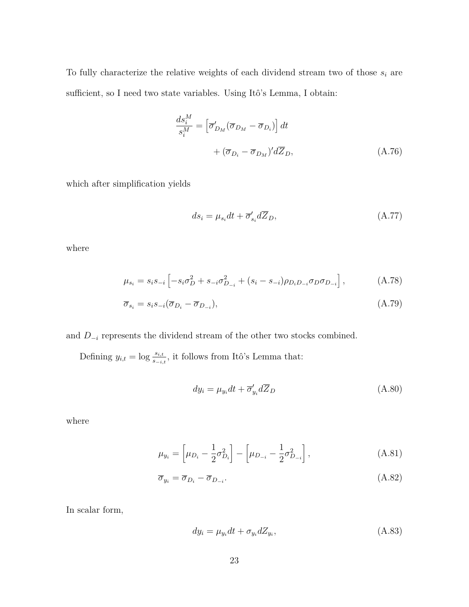To fully characterize the relative weights of each dividend stream two of those  $s_i$  are sufficient, so I need two state variables. Using Itô's Lemma, I obtain:

$$
\frac{ds_i^M}{s_i^M} = \left[\overline{\sigma}_{D_M}'(\overline{\sigma}_{D_M} - \overline{\sigma}_{D_i})\right] dt
$$

$$
+ (\overline{\sigma}_{D_i} - \overline{\sigma}_{D_M})' d\overline{Z}_D, \tag{A.76}
$$

which after simplification yields

$$
ds_i = \mu_{s_i} dt + \overline{\sigma}_{s_i}^{\prime} d\overline{Z}_D, \tag{A.77}
$$

where

$$
\mu_{s_i} = s_i s_{-i} \left[ -s_i \sigma_D^2 + s_{-i} \sigma_{D_{-i}}^2 + (s_i - s_{-i}) \rho_{D_i D_{-i}} \sigma_D \sigma_{D_{-i}} \right], \tag{A.78}
$$

$$
\overline{\sigma}_{s_i} = s_i s_{-i} (\overline{\sigma}_{D_i} - \overline{\sigma}_{D_{-i}}), \tag{A.79}
$$

and  $D_{-i}$  represents the dividend stream of the other two stocks combined.

Defining  $y_{i,t} = \log \frac{s_{i,t}}{s_{-i,t}}$ , it follows from Itô's Lemma that:

$$
dy_i = \mu_{y_i} dt + \overline{\sigma}_{y_i}' d\overline{Z}_D \tag{A.80}
$$

where

$$
\mu_{y_i} = \left[\mu_{D_i} - \frac{1}{2}\sigma_{D_i}^2\right] - \left[\mu_{D_{-i}} - \frac{1}{2}\sigma_{D_{-i}}^2\right],\tag{A.81}
$$

$$
\overline{\sigma}_{y_i} = \overline{\sigma}_{D_i} - \overline{\sigma}_{D_{-i}}.\tag{A.82}
$$

In scalar form,

$$
dy_i = \mu_{y_i} dt + \sigma_{y_i} dZ_{y_i}, \qquad (A.83)
$$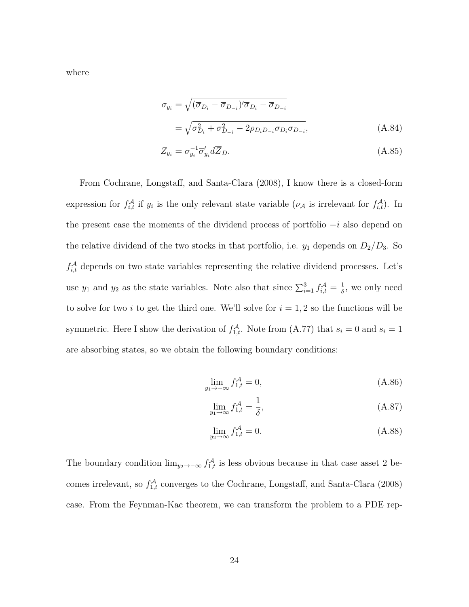where

$$
\sigma_{y_i} = \sqrt{(\overline{\sigma}_{D_i} - \overline{\sigma}_{D_{-i}})' \overline{\sigma}_{D_i} - \overline{\sigma}_{D_{-i}}}
$$
  
=  $\sqrt{\sigma_{D_i}^2 + \sigma_{D_{-i}}^2 - 2\rho_{D_i D_{-i}} \sigma_{D_i} \sigma_{D_{-i}}},$  (A.84)

$$
Z_{y_i} = \sigma_{y_i}^{-1} \overline{\sigma}_{y_i}' d\overline{Z}_D.
$$
\n(A.85)

From Cochrane, Longstaff, and Santa-Clara (2008), I know there is a closed-form expression for  $f_{i,t}^{\mathcal{A}}$  if  $y_i$  is the only relevant state variable ( $\nu_{\mathcal{A}}$  is irrelevant for  $f_{i,t}^{\mathcal{A}}$ ). In the present case the moments of the dividend process of portfolio −*i* also depend on the relative dividend of the two stocks in that portfolio, i.e.  $y_1$  depends on  $D_2/D_3$ . So  $f_{i,t}^{\mathcal{A}}$  depends on two state variables representing the relative dividend processes. Let's use  $y_1$  and  $y_2$  as the state variables. Note also that since  $\sum_{i=1}^3 f_{i,t}^{\mathcal{A}} = \frac{1}{\delta}$  $\frac{1}{\delta}$ , we only need to solve for two *i* to get the third one. We'll solve for  $i = 1, 2$  so the functions will be symmetric. Here I show the derivation of  $f_{1,t}^{\mathcal{A}}$ . Note from (A.77) that  $s_i = 0$  and  $s_i = 1$ are absorbing states, so we obtain the following boundary conditions:

$$
\lim_{y_1 \to -\infty} f_{1,t}^{\mathcal{A}} = 0,\tag{A.86}
$$

$$
\lim_{y_1 \to \infty} f_{1,t}^{\mathcal{A}} = \frac{1}{\delta},\tag{A.87}
$$

$$
\lim_{y_2 \to \infty} f_{1,t}^{\mathcal{A}} = 0. \tag{A.88}
$$

The boundary condition  $\lim_{y_2 \to -\infty} f_{1,t}^{\mathcal{A}}$  is less obvious because in that case asset 2 becomes irrelevant, so  $f_{1,t}^{\mathcal{A}}$  converges to the Cochrane, Longstaff, and Santa-Clara (2008) case. From the Feynman-Kac theorem, we can transform the problem to a PDE rep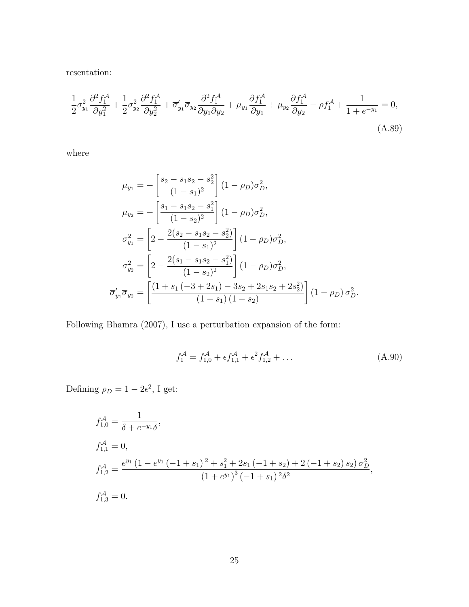resentation:

$$
\frac{1}{2}\sigma_{y_1}^2 \frac{\partial^2 f_1^{\mathcal{A}}}{\partial y_1^2} + \frac{1}{2}\sigma_{y_2}^2 \frac{\partial^2 f_1^{\mathcal{A}}}{\partial y_2^2} + \overline{\sigma}_{y_1}^{\prime} \overline{\sigma}_{y_2} \frac{\partial^2 f_1^{\mathcal{A}}}{\partial y_1 \partial y_2} + \mu_{y_1} \frac{\partial f_1^{\mathcal{A}}}{\partial y_1} + \mu_{y_2} \frac{\partial f_1^{\mathcal{A}}}{\partial y_2} - \rho f_1^{\mathcal{A}} + \frac{1}{1 + e^{-y_1}} = 0,
$$
\n(A.89)

where

$$
\mu_{y_1} = -\left[\frac{s_2 - s_1 s_2 - s_2^2}{(1 - s_1)^2}\right] (1 - \rho_D) \sigma_D^2,
$$
  
\n
$$
\mu_{y_2} = -\left[\frac{s_1 - s_1 s_2 - s_1^2}{(1 - s_2)^2}\right] (1 - \rho_D) \sigma_D^2,
$$
  
\n
$$
\sigma_{y_1}^2 = \left[2 - \frac{2(s_2 - s_1 s_2 - s_2^2)}{(1 - s_1)^2}\right] (1 - \rho_D) \sigma_D^2,
$$
  
\n
$$
\sigma_{y_2}^2 = \left[2 - \frac{2(s_1 - s_1 s_2 - s_1^2)}{(1 - s_2)^2}\right] (1 - \rho_D) \sigma_D^2,
$$
  
\n
$$
\overline{\sigma}_{y_1}' \overline{\sigma}_{y_2} = \left[\frac{(1 + s_1)(-3 + 2s_1) - 3s_2 + 2s_1 s_2 + 2s_2^2)}{(1 - s_1)(1 - s_2)}\right] (1 - \rho_D) \sigma_D^2.
$$

Following Bhamra (2007), I use a perturbation expansion of the form:

$$
f_1^{\mathcal{A}} = f_{1,0}^{\mathcal{A}} + \epsilon f_{1,1}^{\mathcal{A}} + \epsilon^2 f_{1,2}^{\mathcal{A}} + \dots \tag{A.90}
$$

Defining  $\rho_D = 1 - 2\epsilon^2$ , I get:

$$
f_{1,0}^{\mathcal{A}} = \frac{1}{\delta + e^{-y_1} \delta},
$$
  
\n
$$
f_{1,1}^{\mathcal{A}} = 0,
$$
  
\n
$$
f_{1,2}^{\mathcal{A}} = \frac{e^{y_1} (1 - e^{y_1} (-1 + s_1)^2 + s_1^2 + 2s_1 (-1 + s_2) + 2(-1 + s_2) s_2) \sigma_D^2}{(1 + e^{y_1})^3 (-1 + s_1)^2 \delta^2},
$$
  
\n
$$
f_{1,3}^{\mathcal{A}} = 0.
$$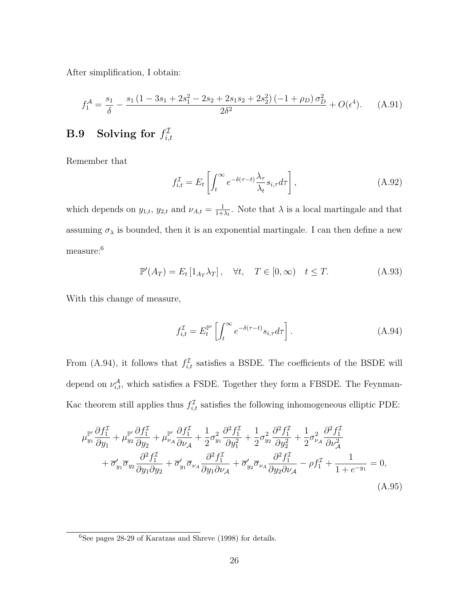After simplification, I obtain:

$$
f_1^{\mathcal{A}} = \frac{s_1}{\delta} - \frac{s_1 \left(1 - 3s_1 + 2s_1^2 - 2s_2 + 2s_1s_2 + 2s_2^2\right)\left(-1 + \rho_D\right)\sigma_D^2}{2\delta^2} + O(\epsilon^4). \tag{A.91}
$$

#### **B.9** Solving for  $f_i^{\mathcal{I}}$ *i,t*

Remember that

$$
f_{i,t}^{\mathcal{I}} = E_t \left[ \int_t^{\infty} e^{-\delta(\tau - t)} \frac{\lambda_{\tau}}{\lambda_t} s_{i,\tau} d\tau \right],
$$
 (A.92)

which depends on  $y_{1,t}$ ,  $y_{2,t}$  and  $\nu_{A,t} = \frac{1}{1+t}$  $\frac{1}{1+\lambda_t}$ . Note that  $\lambda$  is a local martingale and that assuming  $\sigma_{\lambda}$  is bounded, then it is an exponential martingale. I can then define a new measure:<sup>6</sup>

$$
\mathbb{P}'(A_T) = E_t \left[ 1_{A_T} \lambda_T \right], \quad \forall t, \quad T \in [0, \infty) \quad t \le T. \tag{A.93}
$$

With this change of measure,

$$
f_{i,t}^{\mathcal{I}} = E_t^{\mathbb{P}'} \left[ \int_t^{\infty} e^{-\delta(\tau - t)} s_{i,\tau} d\tau \right]. \tag{A.94}
$$

From (A.94), it follows that  $f_{i,t}^{\mathcal{I}}$  satisfies a BSDE. The coefficients of the BSDE will depend on  $\nu_{i,t}^{\mathcal{A}}$ , which satisfies a FSDE. Together they form a FBSDE. The Feynman-Kac theorem still applies thus  $f_{i,t}^{\mathcal{I}}$  satisfies the following inhomogeneous elliptic PDE:

$$
\mu_{y_1}^{\mathbb{P}'} \frac{\partial f_1^{\mathcal{I}}}{\partial y_1} + \mu_{y_2}^{\mathbb{P}'} \frac{\partial f_1^{\mathcal{I}}}{\partial y_2} + \mu_{\nu_{\mathcal{A}}}^{\mathbb{P}'} \frac{\partial f_1^{\mathcal{I}}}{\partial \nu_{\mathcal{A}}} + \frac{1}{2} \sigma_{y_1}^2 \frac{\partial^2 f_1^{\mathcal{I}}}{\partial y_1^2} + \frac{1}{2} \sigma_{y_2}^2 \frac{\partial^2 f_1^{\mathcal{I}}}{\partial y_2^2} + \frac{1}{2} \sigma_{\nu_{\mathcal{A}}}^2 \frac{\partial^2 f_1^{\mathcal{I}}}{\partial \nu_{\mathcal{A}}} + \overline{\sigma}_{y_1}^{\prime} \overline{\sigma}_{y_2} \frac{\partial^2 f_1^{\mathcal{I}}}{\partial y_1 \partial y_2} + \overline{\sigma}_{y_1}^{\prime} \overline{\sigma}_{\nu_{\mathcal{A}}} \frac{\partial^2 f_1^{\mathcal{I}}}{\partial y_1 \partial \nu_{\mathcal{A}}} + \overline{\sigma}_{y_2}^{\prime} \overline{\sigma}_{\nu_{\mathcal{A}}} \frac{\partial^2 f_1^{\mathcal{I}}}{\partial y_2 \partial \nu_{\mathcal{A}}} - \rho f_1^{\mathcal{I}} + \frac{1}{1 + e^{-y_1}} = 0,
$$
\n(A.95)

 $\frac{6}{6}$ See pages 28-29 of Karatzas and Shreve (1998) for details.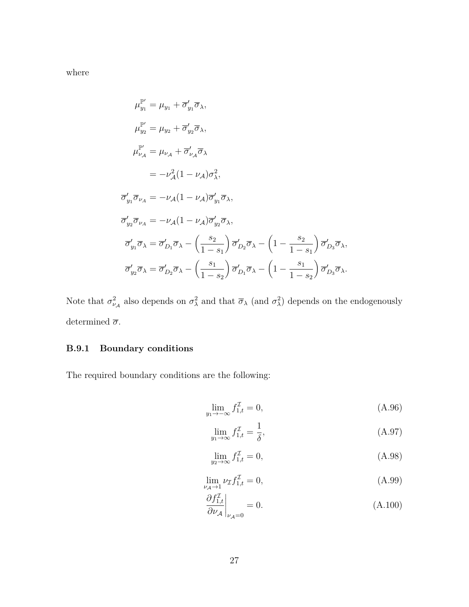where

$$
\mu_{y_1}^{\mathbb{P}'} = \mu_{y_1} + \overline{\sigma}'_{y_1} \overline{\sigma}_{\lambda},
$$
\n
$$
\mu_{y_2}^{\mathbb{P}'} = \mu_{y_2} + \overline{\sigma}'_{y_2} \overline{\sigma}_{\lambda},
$$
\n
$$
\mu_{\nu_A}^{\mathbb{P}'} = \mu_{\nu_A} + \overline{\sigma}'_{\nu_A} \overline{\sigma}_{\lambda}
$$
\n
$$
= -\nu_A^2 (1 - \nu_A) \sigma_{\lambda}^2,
$$
\n
$$
\overline{\sigma}'_{y_1} \overline{\sigma}_{\nu_A} = -\nu_A (1 - \nu_A) \overline{\sigma}'_{y_1} \overline{\sigma}_{\lambda},
$$
\n
$$
\overline{\sigma}'_{y_2} \overline{\sigma}_{\nu_A} = -\nu_A (1 - \nu_A) \overline{\sigma}'_{y_2} \overline{\sigma}_{\lambda},
$$
\n
$$
\overline{\sigma}'_{y_1} \overline{\sigma}_{\lambda} = \overline{\sigma}'_{D_1} \overline{\sigma}_{\lambda} - \left(\frac{s_2}{1 - s_1}\right) \overline{\sigma}'_{D_2} \overline{\sigma}_{\lambda} - \left(1 - \frac{s_2}{1 - s_1}\right) \overline{\sigma}'_{D_3} \overline{\sigma}_{\lambda},
$$
\n
$$
\overline{\sigma}'_{y_2} \overline{\sigma}_{\lambda} = \overline{\sigma}'_{D_2} \overline{\sigma}_{\lambda} - \left(\frac{s_1}{1 - s_2}\right) \overline{\sigma}'_{D_1} \overline{\sigma}_{\lambda} - \left(1 - \frac{s_1}{1 - s_2}\right) \overline{\sigma}'_{D_3} \overline{\sigma}_{\lambda}.
$$

Note that  $\sigma_{\nu_A}^2$  also depends on  $\sigma_{\lambda}^2$  and that  $\overline{\sigma}_{\lambda}$  (and  $\sigma_{\lambda}^2$ ) depends on the endogenously determined  $\overline{\sigma}.$ 

## **B.9.1 Boundary conditions**

The required boundary conditions are the following:

$$
\lim_{y_1 \to -\infty} f_{1,t}^{\mathcal{I}} = 0,\tag{A.96}
$$

$$
\lim_{y_1 \to \infty} f_{1,t}^{\mathcal{I}} = \frac{1}{\delta},\tag{A.97}
$$

$$
\lim_{y_2 \to \infty} f_{1,t}^{\mathcal{I}} = 0,\tag{A.98}
$$

$$
\lim_{\nu_A \to 1} \nu_{\mathcal{I}} f_{1,t}^{\mathcal{I}} = 0,\tag{A.99}
$$

$$
\left. \frac{\partial f_{1,t}^{\mathcal{I}}}{\partial \nu_{\mathcal{A}}} \right|_{\nu_{\mathcal{A}}=0} = 0. \tag{A.100}
$$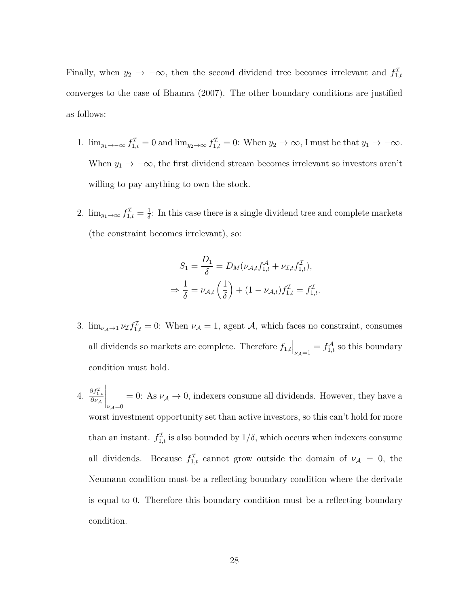Finally, when  $y_2 \to -\infty$ , then the second dividend tree becomes irrelevant and  $f_{1,t}^{\mathcal{I}}$ converges to the case of Bhamra (2007). The other boundary conditions are justified as follows:

- 1.  $\lim_{y_1 \to -\infty} f_{1,t}^{\mathcal{I}} = 0$  and  $\lim_{y_2 \to \infty} f_{1,t}^{\mathcal{I}} = 0$ : When  $y_2 \to \infty$ , I must be that  $y_1 \to -\infty$ . When  $y_1 \to -\infty$ , the first dividend stream becomes irrelevant so investors aren't willing to pay anything to own the stock.
- 2.  $\lim_{y_1 \to \infty} f_{1,t}^{\mathcal{I}} = \frac{1}{\delta}$  $\frac{1}{\delta}$ : In this case there is a single dividend tree and complete markets (the constraint becomes irrelevant), so:

$$
S_1 = \frac{D_1}{\delta} = D_M(\nu_{\mathcal{A},t} f_{1,t}^{\mathcal{A}} + \nu_{\mathcal{I},t} f_{1,t}^{\mathcal{I}}),
$$
  

$$
\Rightarrow \frac{1}{\delta} = \nu_{\mathcal{A},t} \left(\frac{1}{\delta}\right) + (1 - \nu_{\mathcal{A},t}) f_{1,t}^{\mathcal{I}} = f_{1,t}^{\mathcal{I}}.
$$

- 3.  $\lim_{\nu_A \to 1} \nu_{\mathcal{I}} f_{1,t}^{\mathcal{I}} = 0$ : When  $\nu_A = 1$ , agent A, which faces no constraint, consumes all dividends so markets are complete. Therefore  $f_{1,t}\Big|_{\nu A=1} = f_{1,t}^{\mathcal{A}}$  so this boundary condition must hold.
- 4.  $\frac{\partial f_{1,t}^{\mathcal{I}}}{\partial \nu_{\mathcal{A}}}$  $\Bigg|_{\nu_{\mathcal{A}}=0}$  $= 0$ : As  $\nu_A \rightarrow 0$ , indexers consume all dividends. However, they have a worst investment opportunity set than active investors, so this can't hold for more than an instant.  $f_{1,t}^{\mathcal{I}}$  is also bounded by  $1/\delta$ , which occurs when indexers consume all dividends. Because  $f_{1,t}^{\mathcal{I}}$  cannot grow outside the domain of  $\nu_{\mathcal{A}} = 0$ , the Neumann condition must be a reflecting boundary condition where the derivate is equal to 0. Therefore this boundary condition must be a reflecting boundary condition.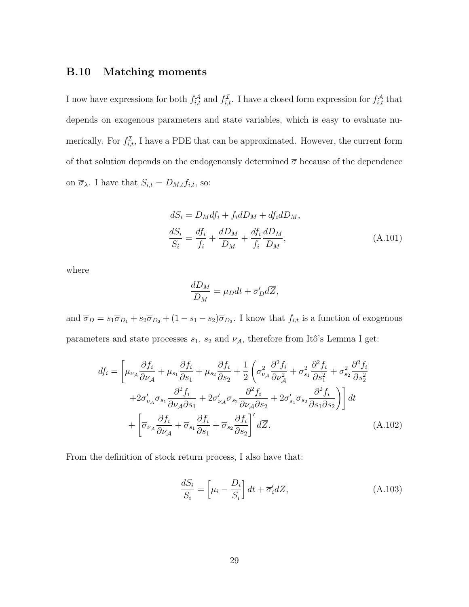### **B.10 Matching moments**

I now have expressions for both  $f_{i,t}^{\mathcal{A}}$  and  $f_{i,t}^{\mathcal{I}}$ . I have a closed form expression for  $f_{i,t}^{\mathcal{A}}$  that depends on exogenous parameters and state variables, which is easy to evaluate numerically. For  $f_{i,t}^{\mathcal{I}}$ , I have a PDE that can be approximated. However, the current form of that solution depends on the endogenously determined  $\bar{\sigma}$  because of the dependence on  $\overline{\sigma}_{\lambda}$ . I have that  $S_{i,t} = D_{M,t} f_{i,t}$ , so:

$$
dS_i = D_M df_i + f_i dD_M + df_i dD_M,
$$
  
\n
$$
\frac{dS_i}{S_i} = \frac{df_i}{f_i} + \frac{dD_M}{D_M} + \frac{df_i}{f_i} \frac{dD_M}{D_M},
$$
\n(A.101)

where

$$
\frac{dD_M}{D_M} = \mu_D dt + \overline{\sigma}'_D d\overline{Z},
$$

and  $\overline{\sigma}_D = s_1 \overline{\sigma}_{D_1} + s_2 \overline{\sigma}_{D_2} + (1 - s_1 - s_2) \overline{\sigma}_{D_3}$ . I know that  $f_{i,t}$  is a function of exogenous parameters and state processes  $s_1$ ,  $s_2$  and  $\nu_{\mathcal{A}}$ , therefore from Itô's Lemma I get:

$$
df_{i} = \left[\mu_{\nu_{\mathcal{A}}}\frac{\partial f_{i}}{\partial \nu_{\mathcal{A}}} + \mu_{s_{1}}\frac{\partial f_{i}}{\partial s_{1}} + \mu_{s_{2}}\frac{\partial f_{i}}{\partial s_{2}} + \frac{1}{2}\left(\sigma_{\nu_{\mathcal{A}}}^{2}\frac{\partial^{2} f_{i}}{\partial \nu_{\mathcal{A}}^{2}} + \sigma_{s_{1}}^{2}\frac{\partial^{2} f_{i}}{\partial s_{1}^{2}} + \sigma_{s_{2}}^{2}\frac{\partial^{2} f_{i}}{\partial s_{2}^{2}}\right] + 2\overline{\sigma}_{\nu_{\mathcal{A}}}^{\prime}\overline{\sigma}_{s_{1}}\frac{\partial^{2} f_{i}}{\partial \nu_{\mathcal{A}}\partial s_{1}} + 2\overline{\sigma}_{\nu_{\mathcal{A}}}^{\prime}\overline{\sigma}_{s_{2}}\frac{\partial^{2} f_{i}}{\partial \nu_{\mathcal{A}}\partial s_{2}} + 2\overline{\sigma}_{s_{1}}^{\prime}\overline{\sigma}_{s_{2}}\frac{\partial^{2} f_{i}}{\partial s_{1}\partial s_{2}}\right] dt + \left[\overline{\sigma}_{\nu_{\mathcal{A}}}\frac{\partial f_{i}}{\partial \nu_{\mathcal{A}}} + \overline{\sigma}_{s_{1}}\frac{\partial f_{i}}{\partial s_{1}} + \overline{\sigma}_{s_{2}}\frac{\partial f_{i}}{\partial s_{2}}\right]^{\prime} d\overline{Z}.
$$
\n(A.102)

From the definition of stock return process, I also have that:

$$
\frac{dS_i}{S_i} = \left[\mu_i - \frac{D_i}{S_i}\right]dt + \overline{\sigma}_i'd\overline{Z},\tag{A.103}
$$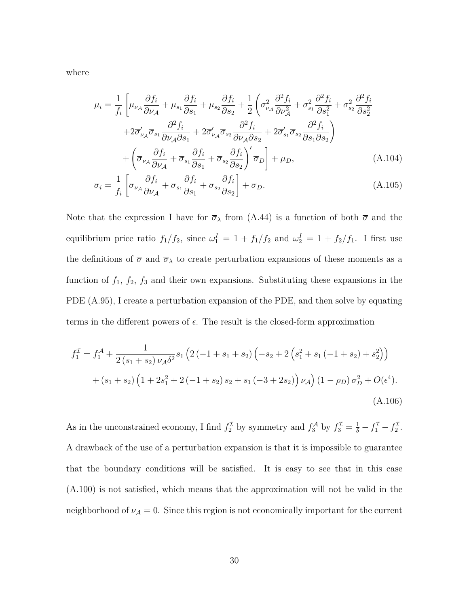where

$$
\mu_{i} = \frac{1}{f_{i}} \left[ \mu_{\nu_{A}} \frac{\partial f_{i}}{\partial \nu_{A}} + \mu_{s_{1}} \frac{\partial f_{i}}{\partial s_{1}} + \mu_{s_{2}} \frac{\partial f_{i}}{\partial s_{2}} + \frac{1}{2} \left( \sigma_{\nu_{A}}^{2} \frac{\partial^{2} f_{i}}{\partial \nu_{A}^{2}} + \sigma_{s_{1}}^{2} \frac{\partial^{2} f_{i}}{\partial s_{1}^{2}} + \sigma_{s_{2}}^{2} \frac{\partial^{2} f_{i}}{\partial s_{2}^{2}} + 2 \sigma_{\nu_{A}}' \overline{\sigma}_{s_{1}} \frac{\partial^{2} f_{i}}{\partial \nu_{A} \partial s_{1}} + 2 \sigma_{\nu_{A}}' \overline{\sigma}_{s_{2}} \frac{\partial^{2} f_{i}}{\partial \nu_{A} \partial s_{2}} + 2 \sigma_{s_{1}}' \overline{\sigma}_{s_{2}} \frac{\partial^{2} f_{i}}{\partial s_{1} \partial s_{2}} \right) \n+ \left( \overline{\sigma}_{\nu_{A}} \frac{\partial f_{i}}{\partial \nu_{A}} + \overline{\sigma}_{s_{1}} \frac{\partial f_{i}}{\partial s_{1}} + \overline{\sigma}_{s_{2}} \frac{\partial f_{i}}{\partial s_{2}} \right)' \overline{\sigma}_{D} \right] + \mu_{D},
$$
\n(A.104)

$$
\overline{\sigma}_{i} = \frac{1}{f_{i}} \left[ \overline{\sigma}_{\nu_{\mathcal{A}}} \frac{\partial f_{i}}{\partial \nu_{\mathcal{A}}} + \overline{\sigma}_{s_{1}} \frac{\partial f_{i}}{\partial s_{1}} + \overline{\sigma}_{s_{2}} \frac{\partial f_{i}}{\partial s_{2}} \right] + \overline{\sigma}_{D}.
$$
\n(A.105)

Note that the expression I have for  $\overline{\sigma}_{\lambda}$  from (A.44) is a function of both  $\overline{\sigma}$  and the equilibrium price ratio  $f_1/f_2$ , since  $\omega_1^I = 1 + f_1/f_2$  and  $\omega_2^I = 1 + f_2/f_1$ . I first use the definitions of  $\overline{\sigma}$  and  $\overline{\sigma}_{\lambda}$  to create perturbation expansions of these moments as a function of  $f_1$ ,  $f_2$ ,  $f_3$  and their own expansions. Substituting these expansions in the PDE (A.95), I create a perturbation expansion of the PDE, and then solve by equating terms in the different powers of  $\epsilon$ . The result is the closed-form approximation

$$
f_1^{\mathcal{I}} = f_1^{\mathcal{A}} + \frac{1}{2(s_1 + s_2) \nu_{\mathcal{A}} \delta^2} s_1 \left( 2 \left( -1 + s_1 + s_2 \right) \left( -s_2 + 2 \left( s_1^2 + s_1 \left( -1 + s_2 \right) + s_2^2 \right) \right) + (s_1 + s_2) \left( 1 + 2s_1^2 + 2 \left( -1 + s_2 \right) s_2 + s_1 \left( -3 + 2s_2 \right) \right) \nu_{\mathcal{A}} \right) (1 - \rho_D) \sigma_D^2 + O(\epsilon^4). \tag{A.106}
$$

As in the unconstrained economy, I find  $f_2^{\mathcal{I}}$  by symmetry and  $f_3^{\mathcal{A}}$  by  $f_3^{\mathcal{I}} = \frac{1}{\delta} - f_1^{\mathcal{I}} - f_2^{\mathcal{I}}$ . A drawback of the use of a perturbation expansion is that it is impossible to guarantee that the boundary conditions will be satisfied. It is easy to see that in this case (A.100) is not satisfied, which means that the approximation will not be valid in the neighborhood of  $\nu_{\mathcal{A}} = 0$ . Since this region is not economically important for the current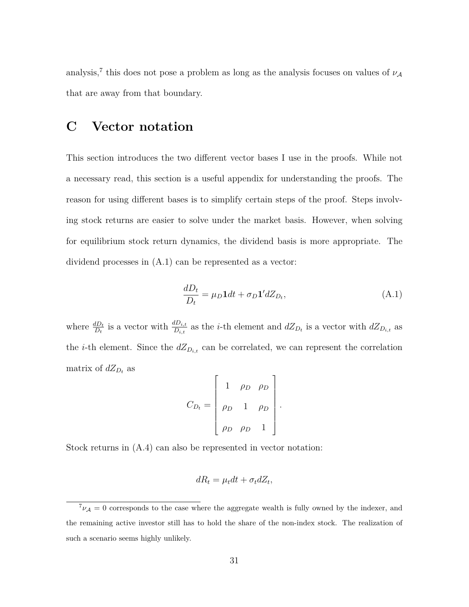analysis,<sup>7</sup> this does not pose a problem as long as the analysis focuses on values of  $\nu_A$ that are away from that boundary.

## **C Vector notation**

This section introduces the two different vector bases I use in the proofs. While not a necessary read, this section is a useful appendix for understanding the proofs. The reason for using different bases is to simplify certain steps of the proof. Steps involving stock returns are easier to solve under the market basis. However, when solving for equilibrium stock return dynamics, the dividend basis is more appropriate. The dividend processes in (A.1) can be represented as a vector:

$$
\frac{dD_t}{D_t} = \mu_D \mathbf{1} dt + \sigma_D \mathbf{1}' dZ_{D_t},\tag{A.1}
$$

where  $\frac{dD_t}{D_t}$  is a vector with  $\frac{dD_{i,t}}{D_{i,t}}$  as the *i*-th element and  $dZ_{D_t}$  is a vector with  $dZ_{D_{i,t}}$  as the *i*-th element. Since the  $dZ_{D_{i,t}}$  can be correlated, we can represent the correlation matrix of  $dZ_{D_t}$  as

$$
C_{D_t} = \begin{bmatrix} 1 & \rho_D & \rho_D \\ \rho_D & 1 & \rho_D \\ \rho_D & \rho_D & 1 \end{bmatrix}.
$$

Stock returns in (A.4) can also be represented in vector notation:

$$
dR_t = \mu_t dt + \sigma_t dZ_t,
$$

 ${}^{7}\nu_{\mathcal{A}}=0$  corresponds to the case where the aggregate wealth is fully owned by the indexer, and the remaining active investor still has to hold the share of the non-index stock. The realization of such a scenario seems highly unlikely.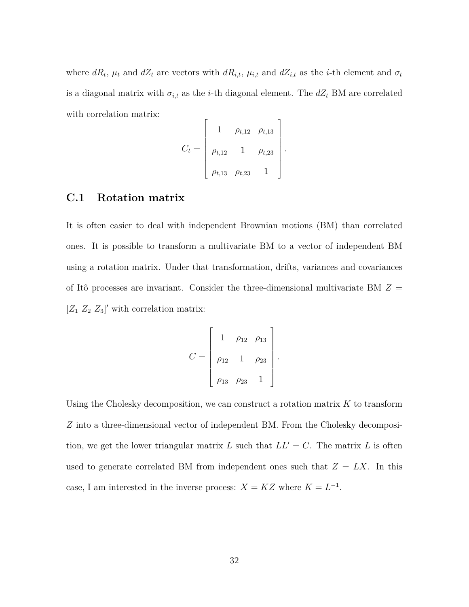where  $dR_t$ ,  $\mu_t$  and  $dZ_t$  are vectors with  $dR_{i,t}$ ,  $\mu_{i,t}$  and  $dZ_{i,t}$  as the *i*-th element and  $\sigma_t$ is a diagonal matrix with  $\sigma_{i,t}$  as the *i*-th diagonal element. The  $dZ_t$  BM are correlated with correlation matrix:  $\overline{\phantom{a}}$ 

$$
C_t = \begin{bmatrix} 1 & \rho_{t,12} & \rho_{t,13} \\ \rho_{t,12} & 1 & \rho_{t,23} \\ \rho_{t,13} & \rho_{t,23} & 1 \end{bmatrix}.
$$

### **C.1 Rotation matrix**

It is often easier to deal with independent Brownian motions (BM) than correlated ones. It is possible to transform a multivariate BM to a vector of independent BM using a rotation matrix. Under that transformation, drifts, variances and covariances of Itô processes are invariant. Consider the three-dimensional multivariate BM  $Z =$  $[Z_1 \ Z_2 \ Z_3]'$  with correlation matrix:

$$
C = \begin{bmatrix} 1 & \rho_{12} & \rho_{13} \\ \rho_{12} & 1 & \rho_{23} \\ \rho_{13} & \rho_{23} & 1 \end{bmatrix}.
$$

Using the Cholesky decomposition, we can construct a rotation matrix *K* to transform *Z* into a three-dimensional vector of independent BM. From the Cholesky decomposition, we get the lower triangular matrix *L* such that  $LL' = C$ . The matrix *L* is often used to generate correlated BM from independent ones such that  $Z = LX$ . In this case, I am interested in the inverse process:  $X = KZ$  where  $K = L^{-1}$ .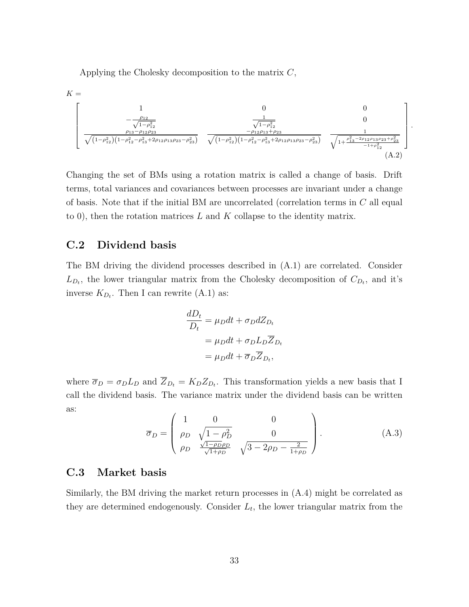Applying the Cholesky decomposition to the matrix *C*,

$$
K = \begin{bmatrix} 1 & 0 & 0 \ -\frac{\rho_{12}}{\sqrt{1-\rho_{12}^2}} & \frac{1}{\sqrt{1-\rho_{12}^2}} & 0 \\ \frac{\rho_{13}-\rho_{12}\rho_{23}}{\sqrt{(1-\rho_{12}^2)(1-\rho_{12}^2-\rho_{13}^2+2\rho_{12}\rho_{13}\rho_{23}-\rho_{23}^2)}} & \frac{-\rho_{12}\rho_{13}+\rho_{23}}{\sqrt{(1-\rho_{12}^2)(1-\rho_{12}^2-\rho_{13}^2+2\rho_{12}\rho_{13}\rho_{23}-\rho_{23}^2)}} & \frac{1}{\sqrt{1+\frac{\rho_{13}^2-2\rho_{12}\rho_{13}\rho_{23}+\rho_{23}^2}{-1+\rho_{12}^2}} \end{bmatrix}
$$
(A.2)

*.*

Changing the set of BMs using a rotation matrix is called a change of basis. Drift terms, total variances and covariances between processes are invariant under a change of basis. Note that if the initial BM are uncorrelated (correlation terms in *C* all equal to 0), then the rotation matrices *L* and *K* collapse to the identity matrix.

### **C.2 Dividend basis**

The BM driving the dividend processes described in (A.1) are correlated. Consider  $L_{D_t}$ , the lower triangular matrix from the Cholesky decomposition of  $C_{D_t}$ , and it's inverse  $K_{D_t}$ . Then I can rewrite  $(A.1)$  as:

$$
\frac{dD_t}{D_t} = \mu_D dt + \sigma_D dZ_{D_t}
$$

$$
= \mu_D dt + \sigma_D L_D \overline{Z}_{D_t}
$$

$$
= \mu_D dt + \overline{\sigma}_D \overline{Z}_{D_t},
$$

where  $\overline{\sigma}_D = \sigma_D L_D$  and  $\overline{Z}_{D_t} = K_D Z_{D_t}$ . This transformation yields a new basis that I call the dividend basis. The variance matrix under the dividend basis can be written as:

$$
\overline{\sigma}_D = \begin{pmatrix} 1 & 0 & 0 \\ \rho_D & \sqrt{1 - \rho_D^2} & 0 \\ \rho_D & \frac{\sqrt{1 - \rho_D \rho_D}}{\sqrt{1 + \rho_D}} & \sqrt{3 - 2\rho_D - \frac{2}{1 + \rho_D}} \end{pmatrix} .
$$
 (A.3)

### **C.3 Market basis**

Similarly, the BM driving the market return processes in (A.4) might be correlated as they are determined endogenously. Consider  $L_t$ , the lower triangular matrix from the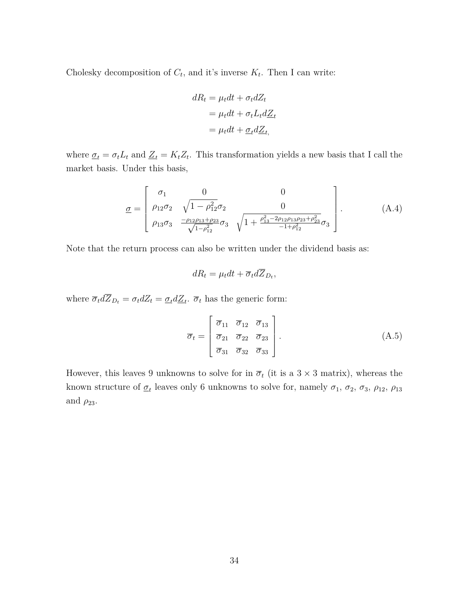Cholesky decomposition of  $C_t$ , and it's inverse  $K_t$ . Then I can write:

$$
dR_t = \mu_t dt + \sigma_t dZ_t
$$
  
=  $\mu_t dt + \sigma_t L_t dZ_t$   
=  $\mu_t dt + \underline{\sigma}_t dZ_t$ ,

where  $\underline{\sigma}_t = \sigma_t L_t$  and  $\underline{Z}_t = K_t Z_t$ . This transformation yields a new basis that I call the market basis. Under this basis,

$$
\underline{\sigma} = \begin{bmatrix} \sigma_1 & 0 & 0 \\ \rho_{12}\sigma_2 & \sqrt{1 - \rho_{12}^2}\sigma_2 & 0 \\ \rho_{13}\sigma_3 & \frac{-\rho_{12}\rho_{13} + \rho_{23}}{\sqrt{1 - \rho_{12}^2}}\sigma_3 & \sqrt{1 + \frac{\rho_{13}^2 - 2\rho_{12}\rho_{13}\rho_{23} + \rho_{23}^2}{-1 + \rho_{12}^2}}\sigma_3 \end{bmatrix} .
$$
 (A.4)

Note that the return process can also be written under the dividend basis as:

$$
dR_t = \mu_t dt + \overline{\sigma}_t d\overline{Z}_{D_t},
$$

where  $\overline{\sigma}_t d\overline{Z}_{D_t} = \sigma_t dZ_t = \underline{\sigma}_t d\underline{Z}_t$ .  $\overline{\sigma}_t$  has the generic form:

$$
\overline{\sigma}_t = \begin{bmatrix} \overline{\sigma}_{11} & \overline{\sigma}_{12} & \overline{\sigma}_{13} \\ \overline{\sigma}_{21} & \overline{\sigma}_{22} & \overline{\sigma}_{23} \\ \overline{\sigma}_{31} & \overline{\sigma}_{32} & \overline{\sigma}_{33} \end{bmatrix} .
$$
 (A.5)

However, this leaves 9 unknowns to solve for in  $\overline{\sigma}_t$  (it is a 3  $\times$  3 matrix), whereas the known structure of  $\underline{\sigma}_t$  leaves only 6 unknowns to solve for, namely  $\sigma_1$ ,  $\sigma_2$ ,  $\sigma_3$ ,  $\rho_{12}$ ,  $\rho_{13}$ and  $\rho_{23}$ .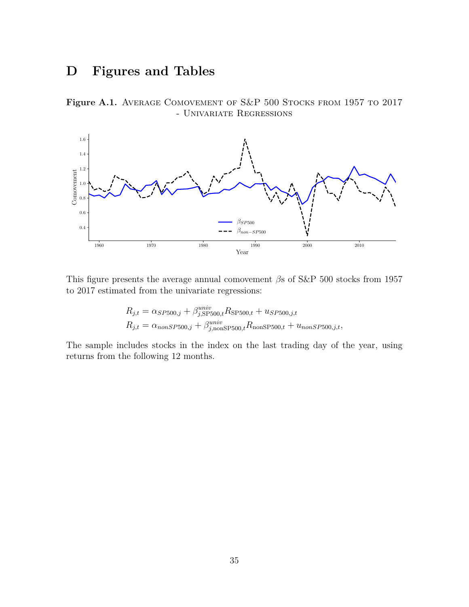## **D Figures and Tables**

Figure A.1. AVERAGE COMOVEMENT OF S&P 500 STOCKS FROM 1957 TO 2017 - Univariate Regressions



This figure presents the average annual comovement *β*s of S&P 500 stocks from 1957 to 2017 estimated from the univariate regressions:

$$
R_{j,t} = \alpha_{SP500,j} + \beta_{j,SP500,t}^{univ} R_{SP500,t} + u_{SP500,j,t}
$$
  

$$
R_{j,t} = \alpha_{nonSP500,j} + \beta_{j,nonSP500,t}^{univ} R_{nonSP500,t} + u_{nonSP500,j,t},
$$

The sample includes stocks in the index on the last trading day of the year, using returns from the following 12 months.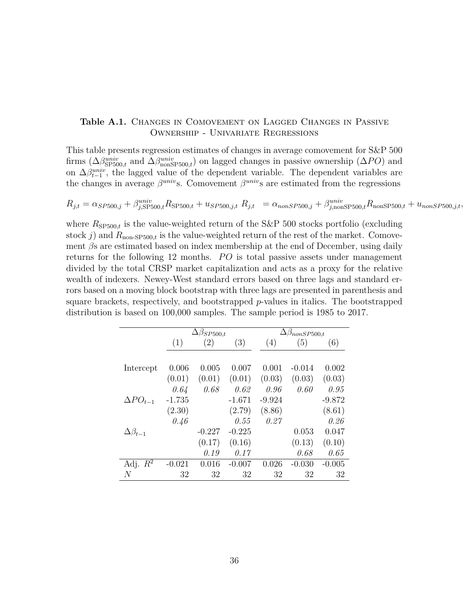### Table A.1. CHANGES IN COMOVEMENT ON LAGGED CHANGES IN PASSIVE Ownership - Univariate Regressions

This table presents regression estimates of changes in average comovement for S&P 500 firms  $(\Delta \beta_{\text{SP500},t}^{univ}$  and  $\Delta \beta_{\text{nonSP500},t}^{univ})$  on lagged changes in passive ownership  $(\Delta PO)$  and on  $\Delta \beta_{t-1}^{univ}$ , the lagged value of the dependent variable. The dependent variables are the changes in average  $\beta^{univ}$ s. Comovement  $\beta^{univ}$ s are estimated from the regressions

$$
R_{j,t} = \alpha_{SP500,j} + \beta_{j, \text{SP500},t}^{univ} R_{\text{SP500},t} + u_{SP500,j,t} \ R_{j,t} = \alpha_{nonSP500,j} + \beta_{j, \text{nonSP500},t}^{univ} R_{\text{nonSP500},t} + u_{nonSP500,j,t},
$$

where  $R_{\text{SP500},t}$  is the value-weighted return of the S&P 500 stocks portfolio (excluding stock *j*) and  $R_{\text{non-SP500,t}}$  is the value-weighted return of the rest of the market. Comovement *β*s are estimated based on index membership at the end of December, using daily returns for the following 12 months. *PO* is total passive assets under management divided by the total CRSP market capitalization and acts as a proxy for the relative wealth of indexers. Newey-West standard errors based on three lags and standard errors based on a moving block bootstrap with three lags are presented in parenthesis and square brackets, respectively, and bootstrapped *p*-values in italics. The bootstrapped distribution is based on 100,000 samples. The sample period is 1985 to 2017.

|                      | $\Delta\beta_{SP500,t}$ |          |          | $\Delta\beta_{nonSP500,t}$ |          |          |
|----------------------|-------------------------|----------|----------|----------------------------|----------|----------|
|                      | (1)                     | (2)      | (3)      | (4)                        | (5)      | (6)      |
|                      |                         |          |          |                            |          |          |
| Intercept            | 0.006                   | 0.005    | 0.007    | 0.001                      | $-0.014$ | 0.002    |
|                      | (0.01)                  | (0.01)   | (0.01)   | (0.03)                     | (0.03)   | (0.03)   |
|                      | 0.64                    | 0.68     | 0.62     | 0.96                       | 0.60     | 0.95     |
| $\Delta PO_{t-1}$    | $-1.735$                |          | $-1.671$ | $-9.924$                   |          | $-9.872$ |
|                      | (2.30)                  |          | (2.79)   | (8.86)                     |          | (8.61)   |
|                      | 0.46                    |          | 0.55     | 0.27                       |          | 0.26     |
| $\Delta \beta_{t-1}$ |                         | $-0.227$ | $-0.225$ |                            | 0.053    | 0.047    |
|                      |                         | (0.17)   | (0.16)   |                            | (0.13)   | (0.10)   |
|                      |                         | 0.19     | 0.17     |                            | 0.68     | 0.65     |
| Adj. $R^2$           | $-0.021$                | 0.016    | $-0.007$ | 0.026                      | $-0.030$ | $-0.005$ |
| N                    | 32                      | 32       | 32       | 32                         | 32       | 32       |
|                      |                         |          |          |                            |          |          |